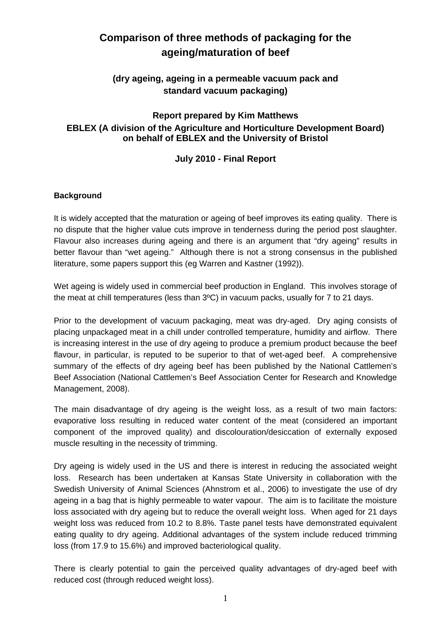# **Comparison of three methods of packaging for the ageing/maturation of beef**

# **(dry ageing, ageing in a permeable vacuum pack and standard vacuum packaging)**

# **Report prepared by Kim Matthews EBLEX (A division of the Agriculture and Horticulture Development Board) on behalf of EBLEX and the University of Bristol**

# **July 2010 - Final Report**

# **Background**

It is widely accepted that the maturation or ageing of beef improves its eating quality. There is no dispute that the higher value cuts improve in tenderness during the period post slaughter. Flavour also increases during ageing and there is an argument that "dry ageing" results in better flavour than "wet ageing." Although there is not a strong consensus in the published literature, some papers support this (eg Warren and Kastner (1992)).

Wet ageing is widely used in commercial beef production in England. This involves storage of the meat at chill temperatures (less than 3ºC) in vacuum packs, usually for 7 to 21 days.

Prior to the development of vacuum packaging, meat was dry-aged. Dry aging consists of placing unpackaged meat in a chill under controlled temperature, humidity and airflow. There is increasing interest in the use of dry ageing to produce a premium product because the beef flavour, in particular, is reputed to be superior to that of wet-aged beef. A comprehensive summary of the effects of dry ageing beef has been published by the National Cattlemen's Beef Association (National Cattlemen's Beef Association Center for Research and Knowledge Management, 2008).

The main disadvantage of dry ageing is the weight loss, as a result of two main factors: evaporative loss resulting in reduced water content of the meat (considered an important component of the improved quality) and discolouration/desiccation of externally exposed muscle resulting in the necessity of trimming.

Dry ageing is widely used in the US and there is interest in reducing the associated weight loss. Research has been undertaken at Kansas State University in collaboration with the Swedish University of Animal Sciences (Ahnstrom et al., 2006) to investigate the use of dry ageing in a bag that is highly permeable to water vapour. The aim is to facilitate the moisture loss associated with dry ageing but to reduce the overall weight loss. When aged for 21 days weight loss was reduced from 10.2 to 8.8%. Taste panel tests have demonstrated equivalent eating quality to dry ageing. Additional advantages of the system include reduced trimming loss (from 17.9 to 15.6%) and improved bacteriological quality.

There is clearly potential to gain the perceived quality advantages of dry-aged beef with reduced cost (through reduced weight loss).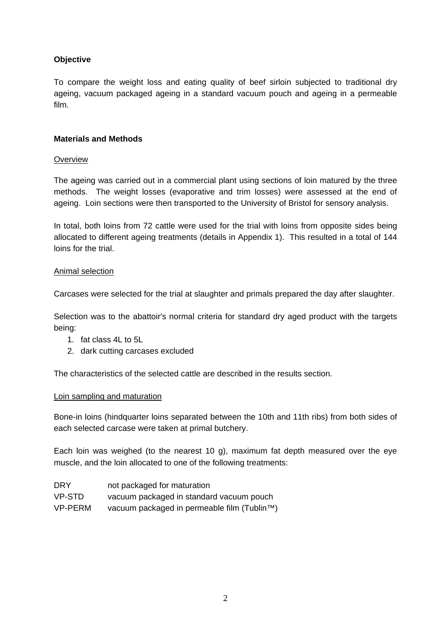# **Objective**

To compare the weight loss and eating quality of beef sirloin subjected to traditional dry ageing, vacuum packaged ageing in a standard vacuum pouch and ageing in a permeable film.

## **Materials and Methods**

## **Overview**

The ageing was carried out in a commercial plant using sections of loin matured by the three methods. The weight losses (evaporative and trim losses) were assessed at the end of ageing. Loin sections were then transported to the University of Bristol for sensory analysis.

In total, both loins from 72 cattle were used for the trial with loins from opposite sides being allocated to different ageing treatments (details in Appendix 1). This resulted in a total of 144 loins for the trial.

## Animal selection

Carcases were selected for the trial at slaughter and primals prepared the day after slaughter.

Selection was to the abattoir's normal criteria for standard dry aged product with the targets being:

- 1. fat class 4L to 5L
- 2. dark cutting carcases excluded

The characteristics of the selected cattle are described in the results section.

## Loin sampling and maturation

Bone-in loins (hindquarter loins separated between the 10th and 11th ribs) from both sides of each selected carcase were taken at primal butchery.

Each loin was weighed (to the nearest 10 g), maximum fat depth measured over the eye muscle, and the loin allocated to one of the following treatments:

| <b>DRY</b> | not packaged for maturation                 |
|------------|---------------------------------------------|
| VP-STD     | vacuum packaged in standard vacuum pouch    |
| VP-PERM    | vacuum packaged in permeable film (Tublin™) |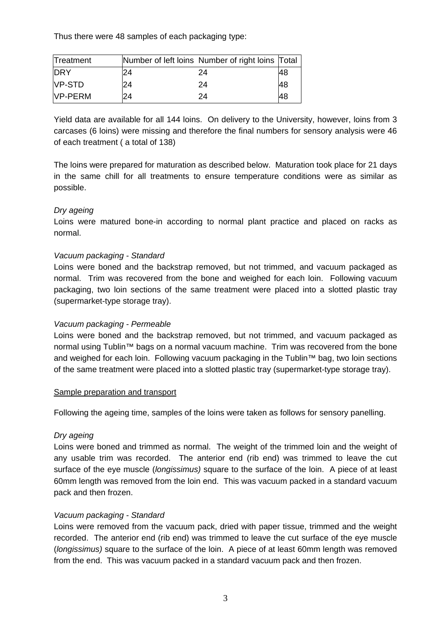Thus there were 48 samples of each packaging type:

| Treatment       |    | Number of left loins Number of right loins Total |    |
|-----------------|----|--------------------------------------------------|----|
| <b>DRY</b>      | 24 | 24                                               | 48 |
| <b>NP-STD</b>   | 24 | 24                                               | 48 |
| <b>IVP-PERM</b> | 24 | 24                                               | 48 |

Yield data are available for all 144 loins. On delivery to the University, however, loins from 3 carcases (6 loins) were missing and therefore the final numbers for sensory analysis were 46 of each treatment ( a total of 138)

The loins were prepared for maturation as described below. Maturation took place for 21 days in the same chill for all treatments to ensure temperature conditions were as similar as possible.

## *Dry ageing*

Loins were matured bone-in according to normal plant practice and placed on racks as normal.

## *Vacuum packaging - Standard*

Loins were boned and the backstrap removed, but not trimmed, and vacuum packaged as normal. Trim was recovered from the bone and weighed for each loin. Following vacuum packaging, two loin sections of the same treatment were placed into a slotted plastic tray (supermarket-type storage tray).

## *Vacuum packaging - Permeable*

Loins were boned and the backstrap removed, but not trimmed, and vacuum packaged as normal using Tublin™ bags on a normal vacuum machine. Trim was recovered from the bone and weighed for each loin. Following vacuum packaging in the Tublin™ bag, two loin sections of the same treatment were placed into a slotted plastic tray (supermarket-type storage tray).

## Sample preparation and transport

Following the ageing time, samples of the loins were taken as follows for sensory panelling.

## *Dry ageing*

Loins were boned and trimmed as normal. The weight of the trimmed loin and the weight of any usable trim was recorded. The anterior end (rib end) was trimmed to leave the cut surface of the eye muscle (*longissimus)* square to the surface of the loin. A piece of at least 60mm length was removed from the loin end. This was vacuum packed in a standard vacuum pack and then frozen.

## *Vacuum packaging - Standard*

Loins were removed from the vacuum pack, dried with paper tissue, trimmed and the weight recorded. The anterior end (rib end) was trimmed to leave the cut surface of the eye muscle (*longissimus)* square to the surface of the loin. A piece of at least 60mm length was removed from the end. This was vacuum packed in a standard vacuum pack and then frozen.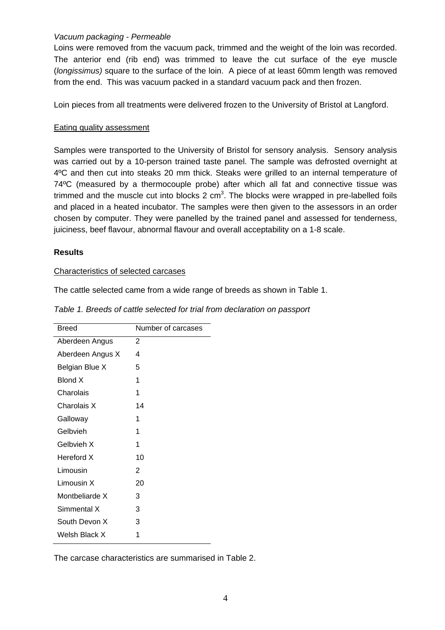## *Vacuum packaging - Permeable*

Loins were removed from the vacuum pack, trimmed and the weight of the loin was recorded. The anterior end (rib end) was trimmed to leave the cut surface of the eye muscle (*longissimus)* square to the surface of the loin. A piece of at least 60mm length was removed from the end. This was vacuum packed in a standard vacuum pack and then frozen.

Loin pieces from all treatments were delivered frozen to the University of Bristol at Langford.

## Eating quality assessment

Samples were transported to the University of Bristol for sensory analysis. Sensory analysis was carried out by a 10-person trained taste panel. The sample was defrosted overnight at 4ºC and then cut into steaks 20 mm thick. Steaks were grilled to an internal temperature of 74ºC (measured by a thermocouple probe) after which all fat and connective tissue was trimmed and the muscle cut into blocks 2 cm<sup>3</sup>. The blocks were wrapped in pre-labelled foils and placed in a heated incubator. The samples were then given to the assessors in an order chosen by computer. They were panelled by the trained panel and assessed for tenderness, juiciness, beef flavour, abnormal flavour and overall acceptability on a 1-8 scale.

## **Results**

#### Characteristics of selected carcases

The cattle selected came from a wide range of breeds as shown in Table 1.

| <b>Breed</b>     | Number of carcases |
|------------------|--------------------|
| Aberdeen Angus   | 2                  |
| Aberdeen Angus X | 4                  |
| Belgian Blue X   | 5                  |
| <b>Blond X</b>   | 1                  |
| Charolais        | 1                  |
| Charolais X      | 14                 |
| Galloway         | 1                  |
| Gelbvieh         | 1                  |
| Gelbvieh X       | 1                  |
| Hereford X       | 10                 |
| Limousin         | 2                  |
| Limousin X       | 20                 |
| Montbeliarde X   | 3                  |
| Simmental X      | 3                  |
| South Devon X    | 3                  |
| Welsh Black X    | 1                  |
|                  |                    |

*Table 1. Breeds of cattle selected for trial from declaration on passport* 

The carcase characteristics are summarised in Table 2.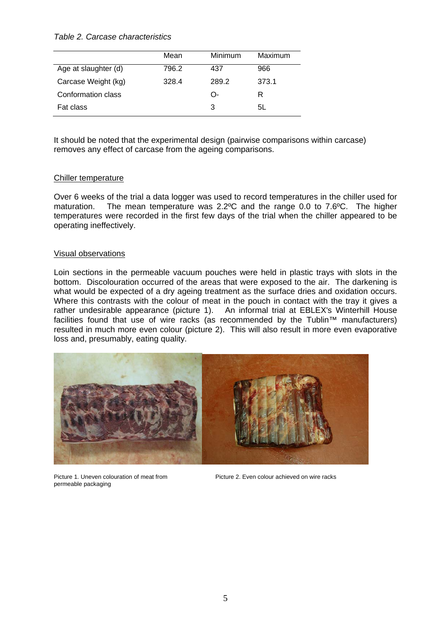#### *Table 2. Carcase characteristics*

|                      | Mean  | <b>Minimum</b> | Maximum |
|----------------------|-------|----------------|---------|
| Age at slaughter (d) | 796.2 | 437            | 966     |
| Carcase Weight (kg)  | 328.4 | 289.2          | 373.1   |
| Conformation class   |       | O-             | R       |
| Fat class            |       | 3              | 5L      |

It should be noted that the experimental design (pairwise comparisons within carcase) removes any effect of carcase from the ageing comparisons.

#### Chiller temperature

Over 6 weeks of the trial a data logger was used to record temperatures in the chiller used for maturation. The mean temperature was 2.2ºC and the range 0.0 to 7.6ºC. The higher temperatures were recorded in the first few days of the trial when the chiller appeared to be operating ineffectively.

#### Visual observations

Loin sections in the permeable vacuum pouches were held in plastic trays with slots in the bottom. Discolouration occurred of the areas that were exposed to the air. The darkening is what would be expected of a dry ageing treatment as the surface dries and oxidation occurs. Where this contrasts with the colour of meat in the pouch in contact with the tray it gives a rather undesirable appearance (picture 1). An informal trial at EBLEX's Winterhill House facilities found that use of wire racks (as recommended by the Tublin™ manufacturers) resulted in much more even colour (picture 2). This will also result in more even evaporative loss and, presumably, eating quality.



permeable packaging

Picture 1. Uneven colouration of meat from Picture 2. Even colour achieved on wire racks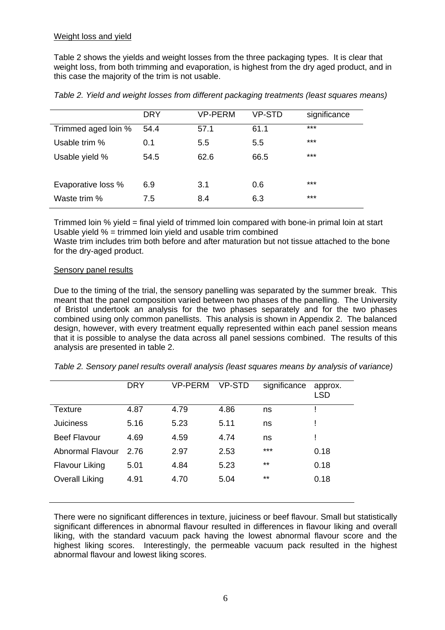Table 2 shows the yields and weight losses from the three packaging types. It is clear that weight loss, from both trimming and evaporation, is highest from the dry aged product, and in this case the majority of the trim is not usable.

|                     | <b>DRY</b> | <b>VP-PERM</b> | VP-STD | significance |
|---------------------|------------|----------------|--------|--------------|
| Trimmed aged loin % | 54.4       | 57.1           | 61.1   | $***$        |
| Usable trim %       | 0.1        | 5.5            | 5.5    | ***          |
| Usable yield %      | 54.5       | 62.6           | 66.5   | ***          |
|                     |            |                |        |              |
| Evaporative loss %  | 6.9        | 3.1            | 0.6    | $***$        |
| Waste trim %        | 7.5        | 8.4            | 6.3    | $***$        |

*Table 2. Yield and weight losses from different packaging treatments (least squares means)* 

Trimmed loin % yield = final yield of trimmed loin compared with bone-in primal loin at start Usable yield % = trimmed loin yield and usable trim combined

Waste trim includes trim both before and after maturation but not tissue attached to the bone for the dry-aged product.

#### Sensory panel results

Due to the timing of the trial, the sensory panelling was separated by the summer break. This meant that the panel composition varied between two phases of the panelling. The University of Bristol undertook an analysis for the two phases separately and for the two phases combined using only common panellists. This analysis is shown in Appendix 2. The balanced design, however, with every treatment equally represented within each panel session means that it is possible to analyse the data across all panel sessions combined. The results of this analysis are presented in table 2.

|                       | <b>DRY</b> | <b>VP-PERM</b> | VP-STD | significance | approx.<br><b>LSD</b> |
|-----------------------|------------|----------------|--------|--------------|-----------------------|
| Texture               | 4.87       | 4.79           | 4.86   | ns           |                       |
| <b>Juiciness</b>      | 5.16       | 5.23           | 5.11   | ns           |                       |
| <b>Beef Flavour</b>   | 4.69       | 4.59           | 4.74   | ns           |                       |
| Abnormal Flavour      | 2.76       | 2.97           | 2.53   | $***$        | 0.18                  |
| <b>Flavour Liking</b> | 5.01       | 4.84           | 5.23   | $***$        | 0.18                  |
| <b>Overall Liking</b> | 4.91       | 4.70           | 5.04   | $***$        | 0.18                  |
|                       |            |                |        |              |                       |

*Table 2. Sensory panel results overall analysis (least squares means by analysis of variance)* 

There were no significant differences in texture, juiciness or beef flavour. Small but statistically significant differences in abnormal flavour resulted in differences in flavour liking and overall liking, with the standard vacuum pack having the lowest abnormal flavour score and the highest liking scores. Interestingly, the permeable vacuum pack resulted in the highest abnormal flavour and lowest liking scores.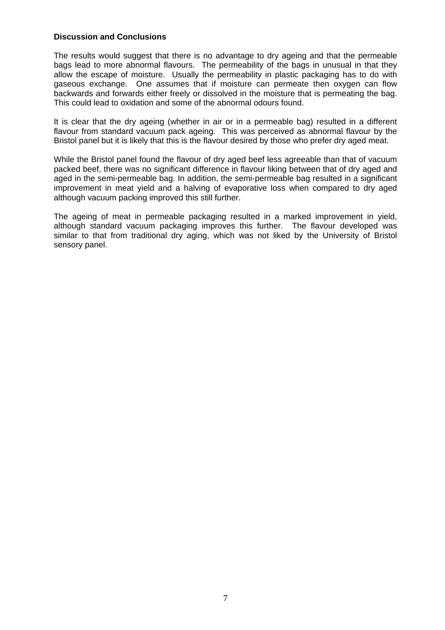#### **Discussion and Conclusions**

The results would suggest that there is no advantage to dry ageing and that the permeable bags lead to more abnormal flavours. The permeability of the bags in unusual in that they allow the escape of moisture. Usually the permeability in plastic packaging has to do with gaseous exchange. One assumes that if moisture can permeate then oxygen can flow backwards and forwards either freely or dissolved in the moisture that is permeating the bag. This could lead to oxidation and some of the abnormal odours found.

It is clear that the dry ageing (whether in air or in a permeable bag) resulted in a different flavour from standard vacuum pack ageing. This was perceived as abnormal flavour by the Bristol panel but it is likely that this is the flavour desired by those who prefer dry aged meat.

While the Bristol panel found the flavour of dry aged beef less agreeable than that of vacuum packed beef, there was no significant difference in flavour liking between that of dry aged and aged in the semi-permeable bag. In addition, the semi-permeable bag resulted in a significant improvement in meat yield and a halving of evaporative loss when compared to dry aged although vacuum packing improved this still further.

The ageing of meat in permeable packaging resulted in a marked improvement in yield, although standard vacuum packaging improves this further. The flavour developed was similar to that from traditional dry aging, which was not liked by the University of Bristol sensory panel.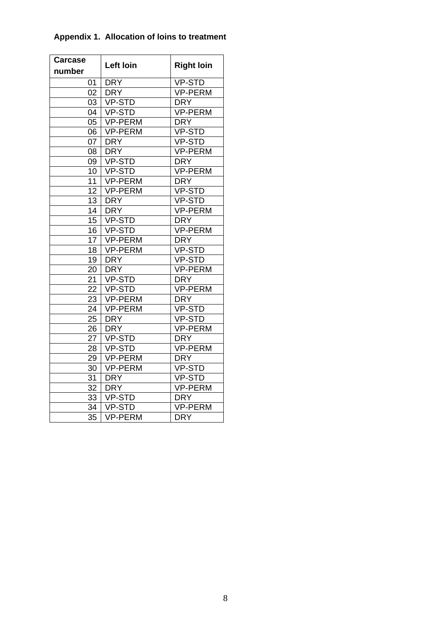| <b>Carcase</b>  | Left loin      | <b>Right loin</b>    |
|-----------------|----------------|----------------------|
| number          |                |                      |
| 01              | <b>DRY</b>     | $\overline{V}$ P-STD |
| 02 <sub>2</sub> | <b>DRY</b>     | <b>VP-PERM</b>       |
| 03              | VP-STD         | <b>DRY</b>           |
| $04-1$          | VP-STD         | VP-PERM              |
| 05 <sub>1</sub> | VP-PERM        | <b>DRY</b>           |
| 06              | VP-PERM        | VP-STD               |
| 07              | <b>DRY</b>     | VP-STD               |
| 08              | <b>DRY</b>     | VP-PERM              |
| 09              | VP-STD         | <b>DRY</b>           |
| $10-1$          | VP-STD         | <b>VP-PERM</b>       |
| 11              | <b>VP-PERM</b> | <b>DRY</b>           |
| 12 <sup>°</sup> | <b>VP-PERM</b> | VP-STD               |
| 13              | <b>DRY</b>     | VP-STD               |
| 14              | <b>DRY</b>     | <b>VP-PERM</b>       |
| 15              | VP-STD         | <b>DRY</b>           |
| $\overline{16}$ | VP-STD         | <b>VP-PERM</b>       |
|                 | 17 VP-PERM     | <b>DRY</b>           |
| 18              | VP-PERM        | VP-STD               |
| 19              | <b>DRY</b>     | <b>VP-STD</b>        |
| 20              | DRY            | <b>VP-PERM</b>       |
| 21              | VP-STD         | <b>DRY</b>           |
| 22              | VP-STD         | VP-PERM              |
| 23              | <b>VP-PERM</b> | <b>DRY</b>           |
| 24              | VP-PERM        | VP-STD               |
| 25              | <b>DRY</b>     | <b>VP-STD</b>        |
| 26              | <b>DRY</b>     | <b>VP-PERM</b>       |
| 27              | VP-STD         | <b>DRY</b>           |
| 28              | <b>VP-STD</b>  | <b>VP-PERM</b>       |
| 29              | VP-PERM        | <b>DRY</b>           |
| 30              | VP-PERM        | VP-STD               |
| 31              | <b>DRY</b>     | VP-STD               |
| 32              | <b>DRY</b>     | <b>VP-PERM</b>       |
| 33              | VP-STD         | <b>DRY</b>           |
| 34              | <b>VP-STD</b>  | <b>VP-PERM</b>       |
| 35              | <b>VP-PERM</b> | <b>DRY</b>           |

# **Appendix 1. Allocation of loins to treatment**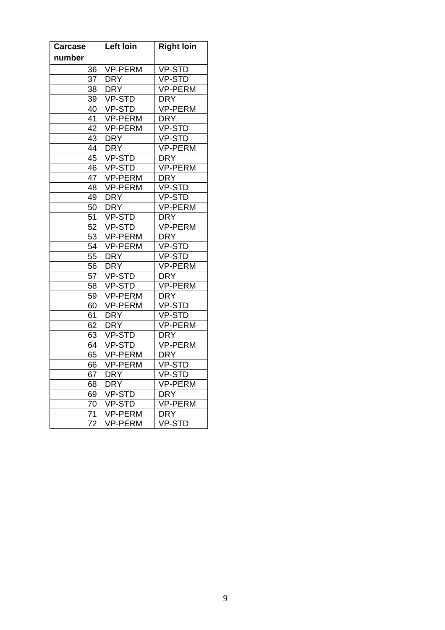| <b>Carcase</b>  | Left loin      | <b>Right loin</b> |
|-----------------|----------------|-------------------|
| number          |                |                   |
| 36              | <b>VP-PERM</b> | <b>VP-STD</b>     |
| 37              | <b>DRY</b>     | <b>VP-STD</b>     |
| 38              | <b>DRY</b>     | <b>VP-PERM</b>    |
| 39              | <b>VP-STD</b>  | <b>DRY</b>        |
| 40              | VP-STD         | <b>VP-PERM</b>    |
| 41              | VP-PERM        | <b>DRY</b>        |
| 42              | <b>VP-PERM</b> | VP-STD            |
| 43              | <b>DRY</b>     | VP-STD            |
| 44              | <b>DRY</b>     | <b>VP-PERM</b>    |
| 45              | <b>VP-STD</b>  | DRY               |
| 46              | VP-STD         | <b>VP-PERM</b>    |
| 47              | <b>VP-PERM</b> | <b>DRY</b>        |
| 48              | <b>VP-PERM</b> | <b>VP-STD</b>     |
| 49              | <b>DRY</b>     | <b>VP-STD</b>     |
| 50              | <b>DRY</b>     | <b>VP-PERM</b>    |
| 51              | VP-STD         | <b>DRY</b>        |
| 52              | <b>VP-STD</b>  | <b>VP-PERM</b>    |
| 53              | <b>VP-PERM</b> | <b>DRY</b>        |
| 54              | <b>VP-PERM</b> | VP-STD            |
| 55              | <b>DRY</b>     | VP-STD            |
| 56              | <b>DRY</b>     | <b>VP-PERM</b>    |
| 57              | <b>VP-STD</b>  | <b>DRY</b>        |
| 58              | <b>VP-STD</b>  | <b>VP-PERM</b>    |
| 59              | <b>VP-PERM</b> | <b>DRY</b>        |
| 60              | <b>VP-PERM</b> | <b>VP-STD</b>     |
| 61              | <b>DRY</b>     | <b>VP-STD</b>     |
| 62              | <b>DRY</b>     | <b>VP-PERM</b>    |
| 63              | <b>VP-STD</b>  | <b>DRY</b>        |
| 64              | <b>VP-STD</b>  | <b>VP-PERM</b>    |
| 65              | <b>VP-PERM</b> | <b>DRY</b>        |
| 66              | VP-PERM        | <b>VP-STD</b>     |
| 67              | <b>DRY</b>     | <b>VP-STD</b>     |
| 68              | <b>DRY</b>     | <b>VP-PERM</b>    |
| 69              | <b>VP-STD</b>  | <b>DRY</b>        |
| 70              | <b>VP-STD</b>  | <b>VP-PERM</b>    |
| 71              | <b>VP-PERM</b> | <b>DRY</b>        |
| $\overline{7}2$ | <b>VP-PERM</b> | <b>VP-STD</b>     |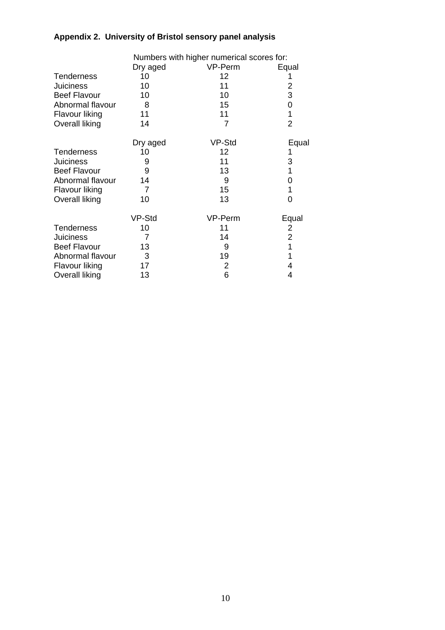# **Appendix 2. University of Bristol sensory panel analysis**

|                       | Numbers with higher numerical scores for: |         |                |  |  |
|-----------------------|-------------------------------------------|---------|----------------|--|--|
|                       | Dry aged                                  | VP-Perm | Equal          |  |  |
| <b>Tenderness</b>     | 10                                        | 12      |                |  |  |
| <b>Juiciness</b>      | 10                                        | 11      | 2              |  |  |
| <b>Beef Flavour</b>   | 10                                        | 10      | 3              |  |  |
| Abnormal flavour      | 8                                         | 15      | 0              |  |  |
| Flavour liking        | 11                                        | 11      | 1              |  |  |
| Overall liking        | 14                                        | 7       | $\overline{2}$ |  |  |
|                       | Dry aged                                  | VP-Std  | Equal          |  |  |
| <b>Tenderness</b>     | 10                                        | 12      | 1              |  |  |
| <b>Juiciness</b>      | 9                                         | 11      | 3              |  |  |
| <b>Beef Flavour</b>   | 9                                         | 13      | 1              |  |  |
| Abnormal flavour      | 14                                        | 9       | 0              |  |  |
| Flavour liking        | 7                                         | 15      | 1              |  |  |
| Overall liking        | 10                                        | 13      | 0              |  |  |
|                       | VP-Std                                    | VP-Perm | Equal          |  |  |
| <b>Tenderness</b>     | 10                                        | 11      | 2              |  |  |
| <b>Juiciness</b>      | 7                                         | 14      | $\overline{2}$ |  |  |
| <b>Beef Flavour</b>   | 13                                        | 9       | 1              |  |  |
| Abnormal flavour      | 3                                         | 19      | 1              |  |  |
| Flavour liking        | 17                                        | 2       | 4              |  |  |
| <b>Overall liking</b> | 13                                        | 6       | 4              |  |  |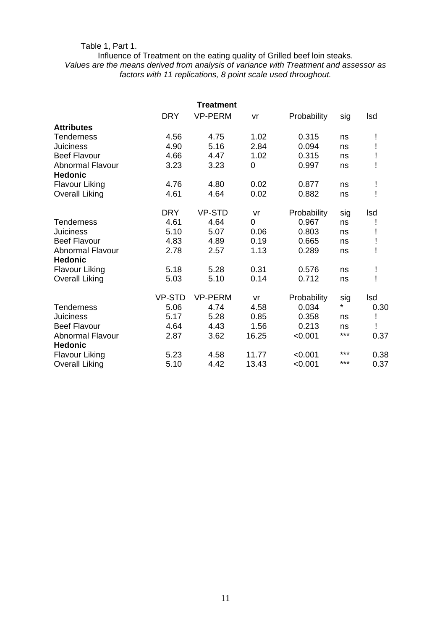# Table 1, Part 1.

## Influence of Treatment on the eating quality of Grilled beef loin steaks. *Values are the means derived from analysis of variance with Treatment and assessor as factors with 11 replications, 8 point scale used throughout.*

| <b>Treatment</b>                          |               |                |       |             |       |      |
|-------------------------------------------|---------------|----------------|-------|-------------|-------|------|
|                                           | <b>DRY</b>    | <b>VP-PERM</b> | vr    | Probability | sig   | Isd  |
| <b>Attributes</b>                         |               |                |       |             |       |      |
| <b>Tenderness</b>                         | 4.56          | 4.75           | 1.02  | 0.315       | ns    |      |
| <b>Juiciness</b>                          | 4.90          | 5.16           | 2.84  | 0.094       | ns    |      |
| <b>Beef Flavour</b>                       | 4.66          | 4.47           | 1.02  | 0.315       | ns    |      |
| <b>Abnormal Flavour</b><br><b>Hedonic</b> | 3.23          | 3.23           | 0     | 0.997       | ns    |      |
| <b>Flavour Liking</b>                     | 4.76          | 4.80           | 0.02  | 0.877       | ns    |      |
| <b>Overall Liking</b>                     | 4.61          | 4.64           | 0.02  | 0.882       | ns    |      |
|                                           | <b>DRY</b>    | <b>VP-STD</b>  | vr    | Probability | sig   | Isd  |
| Tenderness                                | 4.61          | 4.64           | 0     | 0.967       | ns    |      |
| <b>Juiciness</b>                          | 5.10          | 5.07           | 0.06  | 0.803       | ns    |      |
| <b>Beef Flavour</b>                       | 4.83          | 4.89           | 0.19  | 0.665       | ns    |      |
| <b>Abnormal Flavour</b><br><b>Hedonic</b> | 2.78          | 2.57           | 1.13  | 0.289       | ns    | ļ    |
| <b>Flavour Liking</b>                     | 5.18          | 5.28           | 0.31  | 0.576       | ns    |      |
| <b>Overall Liking</b>                     | 5.03          | 5.10           | 0.14  | 0.712       | ns    | ļ    |
|                                           | <b>VP-STD</b> | <b>VP-PERM</b> | vr    | Probability | sig   | Isd  |
| <b>Tenderness</b>                         | 5.06          | 4.74           | 4.58  | 0.034       | *     | 0.30 |
| <b>Juiciness</b>                          | 5.17          | 5.28           | 0.85  | 0.358       | ns    |      |
| <b>Beef Flavour</b>                       | 4.64          | 4.43           | 1.56  | 0.213       | ns    |      |
| <b>Abnormal Flavour</b><br><b>Hedonic</b> | 2.87          | 3.62           | 16.25 | < 0.001     | $***$ | 0.37 |
| <b>Flavour Liking</b>                     | 5.23          | 4.58           | 11.77 | < 0.001     | ***   | 0.38 |
| <b>Overall Liking</b>                     | 5.10          | 4.42           | 13.43 | < 0.001     | ***   | 0.37 |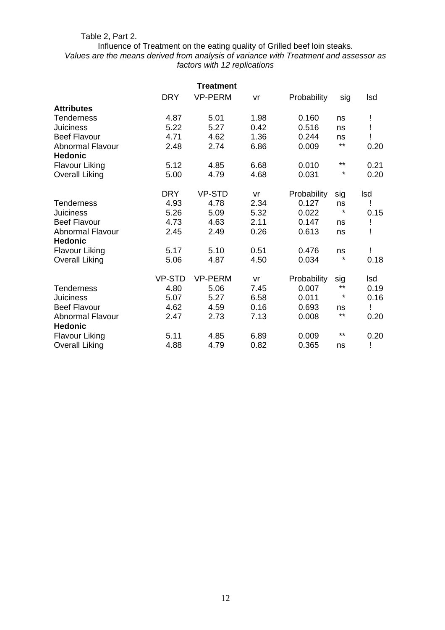#### Table 2, Part 2.

Influence of Treatment on the eating quality of Grilled beef loin steaks. *Values are the means derived from analysis of variance with Treatment and assessor as factors with 12 replications* 

|                                           |               | <b>Treatment</b> |      |             |          |      |
|-------------------------------------------|---------------|------------------|------|-------------|----------|------|
|                                           | <b>DRY</b>    | <b>VP-PERM</b>   | vr   | Probability | sig      | Isd  |
| <b>Attributes</b>                         |               |                  |      |             |          |      |
| <b>Tenderness</b>                         | 4.87          | 5.01             | 1.98 | 0.160       | ns       |      |
| <b>Juiciness</b>                          | 5.22          | 5.27             | 0.42 | 0.516       | ns       |      |
| <b>Beef Flavour</b>                       | 4.71          | 4.62             | 1.36 | 0.244       | ns       |      |
| <b>Abnormal Flavour</b><br><b>Hedonic</b> | 2.48          | 2.74             | 6.86 | 0.009       | $***$    | 0.20 |
| <b>Flavour Liking</b>                     | 5.12          | 4.85             | 6.68 | 0.010       | $***$    | 0.21 |
| <b>Overall Liking</b>                     | 5.00          | 4.79             | 4.68 | 0.031       | $^\star$ | 0.20 |
|                                           | <b>DRY</b>    | <b>VP-STD</b>    | vr   | Probability | sig      | Isd  |
| <b>Tenderness</b>                         | 4.93          | 4.78             | 2.34 | 0.127       | ns       | Ţ    |
| <b>Juiciness</b>                          | 5.26          | 5.09             | 5.32 | 0.022       | $\star$  | 0.15 |
| <b>Beef Flavour</b>                       | 4.73          | 4.63             | 2.11 | 0.147       | ns       | Ţ    |
| <b>Abnormal Flavour</b>                   | 2.45          | 2.49             | 0.26 | 0.613       | ns       |      |
| <b>Hedonic</b>                            |               |                  |      |             |          |      |
| <b>Flavour Liking</b>                     | 5.17          | 5.10             | 0.51 | 0.476       | ns       |      |
| <b>Overall Liking</b>                     | 5.06          | 4.87             | 4.50 | 0.034       | $\star$  | 0.18 |
|                                           | <b>VP-STD</b> | <b>VP-PERM</b>   | vr   | Probability | sig      | Isd  |
| Tenderness                                | 4.80          | 5.06             | 7.45 | 0.007       | $***$    | 0.19 |
| <b>Juiciness</b>                          | 5.07          | 5.27             | 6.58 | 0.011       | $^\star$ | 0.16 |
| <b>Beef Flavour</b>                       | 4.62          | 4.59             | 0.16 | 0.693       | ns       |      |
| <b>Abnormal Flavour</b>                   | 2.47          | 2.73             | 7.13 | 0.008       | $***$    | 0.20 |
| <b>Hedonic</b>                            |               |                  |      |             |          |      |
| <b>Flavour Liking</b>                     | 5.11          | 4.85             | 6.89 | 0.009       | $***$    | 0.20 |
| <b>Overall Liking</b>                     | 4.88          | 4.79             | 0.82 | 0.365       | ns       | Ţ    |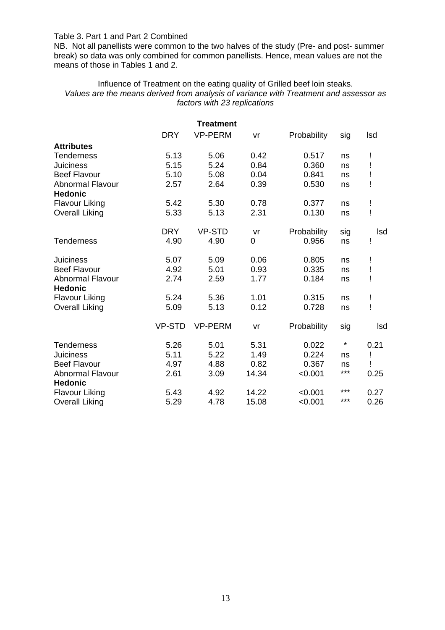#### Table 3. Part 1 and Part 2 Combined

NB. Not all panellists were common to the two halves of the study (Pre- and post- summer break) so data was only combined for common panellists. Hence, mean values are not the means of those in Tables 1 and 2.

#### Influence of Treatment on the eating quality of Grilled beef loin steaks. *Values are the means derived from analysis of variance with Treatment and assessor as factors with 23 replications*

| <b>Treatment</b>                          |               |                |       |             |         |      |
|-------------------------------------------|---------------|----------------|-------|-------------|---------|------|
|                                           | <b>DRY</b>    | <b>VP-PERM</b> | vr    | Probability | sig     | Isd  |
| <b>Attributes</b>                         |               |                |       |             |         |      |
| <b>Tenderness</b>                         | 5.13          | 5.06           | 0.42  | 0.517       | ns      | Ţ    |
| <b>Juiciness</b>                          | 5.15          | 5.24           | 0.84  | 0.360       | ns      | ļ    |
| <b>Beef Flavour</b>                       | 5.10          | 5.08           | 0.04  | 0.841       | ns      | Ĩ    |
| <b>Abnormal Flavour</b><br><b>Hedonic</b> | 2.57          | 2.64           | 0.39  | 0.530       | ns      | Ţ    |
| <b>Flavour Liking</b>                     | 5.42          | 5.30           | 0.78  | 0.377       | ns      | ļ    |
| <b>Overall Liking</b>                     | 5.33          | 5.13           | 2.31  | 0.130       | ns      | ļ    |
|                                           | <b>DRY</b>    | <b>VP-STD</b>  | vr    | Probability | sig     | Isd  |
| <b>Tenderness</b>                         | 4.90          | 4.90           | 0     | 0.956       | ns      | Ţ    |
| <b>Juiciness</b>                          | 5.07          | 5.09           | 0.06  | 0.805       | ns      | Ţ    |
| <b>Beef Flavour</b>                       | 4.92          | 5.01           | 0.93  | 0.335       | ns      | ļ    |
| <b>Abnormal Flavour</b><br><b>Hedonic</b> | 2.74          | 2.59           | 1.77  | 0.184       | ns      | ļ    |
| <b>Flavour Liking</b>                     | 5.24          | 5.36           | 1.01  | 0.315       | ns      | ļ    |
| <b>Overall Liking</b>                     | 5.09          | 5.13           | 0.12  | 0.728       | ns      | ļ    |
|                                           | <b>VP-STD</b> | <b>VP-PERM</b> | vr    | Probability | sig     | Isd  |
| <b>Tenderness</b>                         | 5.26          | 5.01           | 5.31  | 0.022       | $\star$ | 0.21 |
| <b>Juiciness</b>                          | 5.11          | 5.22           | 1.49  | 0.224       | ns      | ļ    |
| <b>Beef Flavour</b>                       | 4.97          | 4.88           | 0.82  | 0.367       | ns      | J    |
| <b>Abnormal Flavour</b><br><b>Hedonic</b> | 2.61          | 3.09           | 14.34 | < 0.001     | ***     | 0.25 |
| <b>Flavour Liking</b>                     | 5.43          | 4.92           | 14.22 | < 0.001     | ***     | 0.27 |
| <b>Overall Liking</b>                     | 5.29          | 4.78           | 15.08 | < 0.001     | ***     | 0.26 |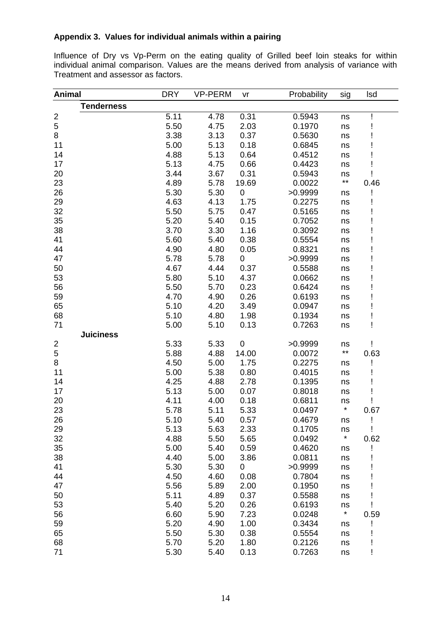# **Appendix 3. Values for individual animals within a pairing**

Influence of Dry vs Vp-Perm on the eating quality of Grilled beef loin steaks for within individual animal comparison. Values are the means derived from analysis of variance with Treatment and assessor as factors.

| <b>Animal</b>           |                   | <b>DRY</b> | <b>VP-PERM</b> | vr               | Probability | sig     | lsd  |
|-------------------------|-------------------|------------|----------------|------------------|-------------|---------|------|
|                         | <b>Tenderness</b> |            |                |                  |             |         |      |
|                         |                   | 5.11       | 4.78           | 0.31             | 0.5943      | ns      |      |
| $\frac{2}{5}$           |                   | 5.50       | 4.75           | 2.03             | 0.1970      | ns      |      |
| 8                       |                   | 3.38       | 3.13           | 0.37             | 0.5630      | ns      |      |
| 11                      |                   | 5.00       | 5.13           | 0.18             | 0.6845      | ns      |      |
| 14                      |                   | 4.88       | 5.13           | 0.64             | 0.4512      | ns      |      |
| 17                      |                   | 5.13       | 4.75           | 0.66             | 0.4423      | ns      |      |
| 20                      |                   | 3.44       | 3.67           | 0.31             | 0.5943      | ns      |      |
| 23                      |                   | 4.89       | 5.78           | 19.69            | 0.0022      | $***$   | 0.46 |
| 26                      |                   | 5.30       | 5.30           | $\boldsymbol{0}$ | >0.9999     | ns      |      |
| 29                      |                   | 4.63       | 4.13           | 1.75             | 0.2275      | ns      |      |
| 32                      |                   | 5.50       | 5.75           | 0.47             | 0.5165      | ns      |      |
| 35                      |                   | 5.20       | 5.40           | 0.15             | 0.7052      | ns      |      |
| 38                      |                   | 3.70       | 3.30           | 1.16             | 0.3092      | ns      |      |
| 41                      |                   | 5.60       | 5.40           | 0.38             | 0.5554      | ns      |      |
| 44                      |                   | 4.90       | 4.80           | 0.05             | 0.8321      | ns      |      |
| 47                      |                   | 5.78       | 5.78           | $\pmb{0}$        | >0.9999     | ns      |      |
| 50                      |                   | 4.67       | 4.44           | 0.37             | 0.5588      | ns      |      |
| 53                      |                   | 5.80       | 5.10           | 4.37             | 0.0662      | ns      |      |
| 56                      |                   | 5.50       | 5.70           | 0.23             | 0.6424      | ns      |      |
| 59                      |                   | 4.70       | 4.90           | 0.26             | 0.6193      | ns      |      |
| 65                      |                   | 5.10       | 4.20           | 3.49             | 0.0947      | ns      |      |
| 68                      |                   | 5.10       | 4.80           | 1.98             | 0.1934      | ns      |      |
| 71                      |                   | 5.00       | 5.10           | 0.13             | 0.7263      | ns      |      |
|                         | <b>Juiciness</b>  |            |                |                  |             |         |      |
| $\overline{\mathbf{c}}$ |                   | 5.33       | 5.33           | $\mathbf 0$      | >0.9999     | ns      |      |
| 5                       |                   | 5.88       | 4.88           | 14.00            | 0.0072      | $***$   | 0.63 |
| 8                       |                   | 4.50       | 5.00           | 1.75             | 0.2275      | ns      |      |
| 11                      |                   | 5.00       | 5.38           | 0.80             | 0.4015      | ns      |      |
| 14                      |                   | 4.25       | 4.88           | 2.78             | 0.1395      | ns      |      |
| 17                      |                   | 5.13       | 5.00           | 0.07             | 0.8018      | ns      |      |
| 20                      |                   | 4.11       | 4.00           | 0.18             | 0.6811      | ns      |      |
| 23                      |                   | 5.78       | 5.11           | 5.33             | 0.0497      | $\star$ | 0.67 |
| 26                      |                   | 5.10       | 5.40           | 0.57             | 0.4679      | ns      | Ţ    |
| 29                      |                   | 5.13       | 5.63           | 2.33             | 0.1705      | ns      | Ţ    |
| 32                      |                   | 4.88       | 5.50           | 5.65             | 0.0492      | $\star$ | 0.62 |
| 35                      |                   | 5.00       | 5.40           | 0.59             | 0.4620      | ns      |      |
| 38                      |                   | 4.40       | 5.00           | 3.86             | 0.0811      | ns      |      |
| 41                      |                   | 5.30       | 5.30           | 0                | >0.9999     | ns      |      |
| 44                      |                   | 4.50       | 4.60           | 0.08             | 0.7804      | ns      |      |
| 47                      |                   | 5.56       | 5.89           | 2.00             | 0.1950      | ns      |      |
| 50                      |                   | 5.11       | 4.89           | 0.37             | 0.5588      | ns      |      |
| 53                      |                   | 5.40       | 5.20           | 0.26             | 0.6193      | ns      |      |
| 56                      |                   | 6.60       | 5.90           | 7.23             | 0.0248      | $\star$ | 0.59 |
| 59                      |                   | 5.20       | 4.90           | 1.00             | 0.3434      | ns      |      |
| 65                      |                   | 5.50       | 5.30           | 0.38             | 0.5554      | ns      |      |
| 68                      |                   | 5.70       | 5.20           | 1.80             | 0.2126      | ns      |      |
| 71                      |                   | 5.30       | 5.40           | 0.13             | 0.7263      | ns      |      |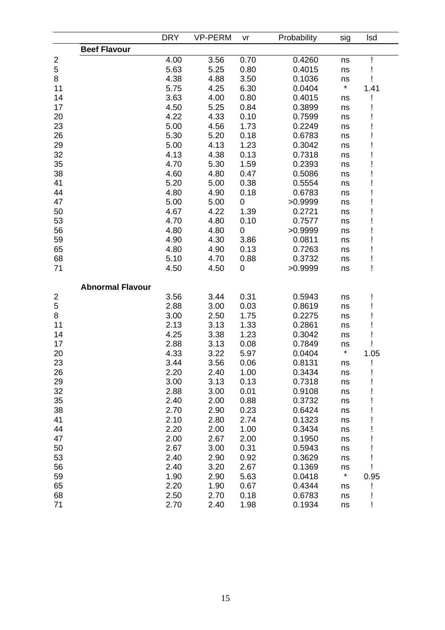|                         |                         | <b>DRY</b> | <b>VP-PERM</b> | vr        | Probability | sig     | <b>Isd</b> |
|-------------------------|-------------------------|------------|----------------|-----------|-------------|---------|------------|
|                         | <b>Beef Flavour</b>     |            |                |           |             |         |            |
| $\overline{\mathbf{c}}$ |                         | 4.00       | 3.56           | 0.70      | 0.4260      | ns      |            |
| 5                       |                         | 5.63       | 5.25           | 0.80      | 0.4015      | ns      |            |
| 8                       |                         | 4.38       | 4.88           | 3.50      | 0.1036      | ns      |            |
| 11                      |                         | 5.75       | 4.25           | 6.30      | 0.0404      | $\star$ | 1.41       |
| 14                      |                         | 3.63       | 4.00           | 0.80      | 0.4015      | ns      |            |
| 17                      |                         | 4.50       | 5.25           | 0.84      | 0.3899      | ns      |            |
| 20                      |                         | 4.22       | 4.33           | 0.10      | 0.7599      | ns      |            |
| 23                      |                         | 5.00       | 4.56           | 1.73      | 0.2249      | ns      |            |
| 26                      |                         | 5.30       | 5.20           | 0.18      | 0.6783      | ns      |            |
| 29                      |                         | 5.00       | 4.13           | 1.23      | 0.3042      | ns      |            |
| 32                      |                         | 4.13       | 4.38           | 0.13      | 0.7318      | ns      |            |
| 35                      |                         | 4.70       | 5.30           | 1.59      | 0.2393      | ns      |            |
| 38                      |                         | 4.60       | 4.80           | 0.47      | 0.5086      | ns      |            |
| 41                      |                         | 5.20       | 5.00           | 0.38      | 0.5554      | ns      |            |
| 44                      |                         | 4.80       | 4.90           | 0.18      | 0.6783      | ns      |            |
| 47                      |                         | 5.00       | 5.00           | $\pmb{0}$ | >0.9999     | ns      |            |
| 50                      |                         | 4.67       | 4.22           | 1.39      | 0.2721      | ns      |            |
| 53                      |                         | 4.70       | 4.80           | 0.10      | 0.7577      | ns      |            |
| 56                      |                         | 4.80       | 4.80           | $\pmb{0}$ | >0.9999     | ns      |            |
| 59                      |                         | 4.90       | 4.30           | 3.86      | 0.0811      | ns      |            |
| 65                      |                         | 4.80       | 4.90           | 0.13      | 0.7263      | ns      |            |
| 68                      |                         | 5.10       | 4.70           | 0.88      | 0.3732      | ns      |            |
| 71                      |                         | 4.50       | 4.50           | 0         | >0.9999     | ns      | ļ          |
|                         |                         |            |                |           |             |         |            |
|                         | <b>Abnormal Flavour</b> |            |                |           |             |         |            |
| $\overline{\mathbf{c}}$ |                         | 3.56       | 3.44           | 0.31      | 0.5943      | ns      |            |
| 5                       |                         | 2.88       | 3.00           | 0.03      | 0.8619      | ns      |            |
| 8                       |                         | 3.00       | 2.50           | 1.75      | 0.2275      | ns      |            |
| 11                      |                         | 2.13       | 3.13           | 1.33      | 0.2861      | ns      |            |
| 14                      |                         | 4.25       | 3.38           | 1.23      | 0.3042      | ns      |            |
| 17                      |                         | 2.88       | 3.13           | 0.08      | 0.7849      | ns      |            |
| 20                      |                         | 4.33       | 3.22           | 5.97      | 0.0404      | $\star$ | 1.05       |
| 23                      |                         | 3.44       | 3.56           | 0.06      | 0.8131      | ns      | I          |
| 26                      |                         | 2.20       | 2.40           | 1.00      | 0.3434      | ns      |            |
| 29                      |                         | 3.00       | 3.13           | 0.13      | 0.7318      | ns      |            |
| 32                      |                         | 2.88       | 3.00           | 0.01      | 0.9108      | ns      |            |
| 35                      |                         | 2.40       | 2.00           | 0.88      | 0.3732      | ns      |            |
| 38                      |                         | 2.70       | 2.90           | 0.23      | 0.6424      | ns      |            |
| 41                      |                         | 2.10       | 2.80           | 2.74      | 0.1323      | ns      |            |
| 44                      |                         | 2.20       | 2.00           | 1.00      | 0.3434      | ns      |            |
| 47                      |                         | 2.00       | 2.67           | 2.00      | 0.1950      | ns      |            |
| 50                      |                         | 2.67       | 3.00           | 0.31      | 0.5943      | ns      |            |
| 53                      |                         | 2.40       | 2.90           | 0.92      | 0.3629      | ns      |            |
| 56                      |                         | 2.40       | 3.20           | 2.67      | 0.1369      | ns      |            |
| 59                      |                         | 1.90       | 2.90           | 5.63      | 0.0418      | $\star$ | 0.95       |
| 65                      |                         | 2.20       | 1.90           | 0.67      | 0.4344      | ns      |            |
| 68                      |                         | 2.50       | 2.70           | 0.18      | 0.6783      | ns      |            |
| 71                      |                         | 2.70       | 2.40           | 1.98      | 0.1934      | ns      |            |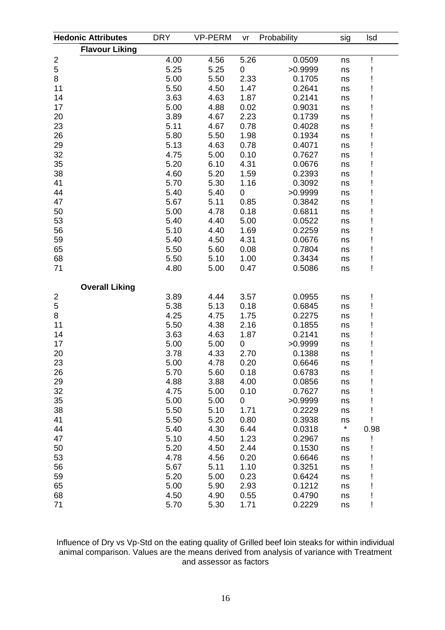|                         | <b>Hedonic Attributes</b> | <b>DRY</b><br><b>VP-PERM</b><br>Probability<br>vr |      | sig  | <b>Isd</b> |         |      |
|-------------------------|---------------------------|---------------------------------------------------|------|------|------------|---------|------|
|                         | <b>Flavour Liking</b>     |                                                   |      |      |            |         |      |
| $\overline{\mathbf{c}}$ |                           | 4.00                                              | 4.56 | 5.26 | 0.0509     | ns      |      |
| 5                       |                           | 5.25                                              | 5.25 | 0    | >0.9999    | ns      |      |
| 8                       |                           | 5.00                                              | 5.50 | 2.33 | 0.1705     | ns      |      |
| 11                      |                           | 5.50                                              | 4.50 | 1.47 | 0.2641     | ns      |      |
| 14                      |                           | 3.63                                              | 4.63 | 1.87 | 0.2141     | ns      |      |
| 17                      |                           | 5.00                                              | 4.88 | 0.02 | 0.9031     | ns      |      |
| 20                      |                           | 3.89                                              | 4.67 | 2.23 | 0.1739     | ns      |      |
| 23                      |                           | 5.11                                              | 4.67 | 0.78 | 0.4028     | ns      |      |
| 26                      |                           | 5.80                                              | 5.50 | 1.98 | 0.1934     | ns      |      |
| 29                      |                           | 5.13                                              | 4.63 | 0.78 | 0.4071     | ns      |      |
| 32                      |                           | 4.75                                              | 5.00 | 0.10 | 0.7627     | ns      |      |
| 35                      |                           | 5.20                                              | 6.10 | 4.31 | 0.0676     | ns      |      |
| 38                      |                           | 4.60                                              | 5.20 | 1.59 | 0.2393     | ns      |      |
| 41                      |                           | 5.70                                              | 5.30 | 1.16 | 0.3092     | ns      |      |
| 44                      |                           | 5.40                                              | 5.40 | 0    | >0.9999    | ns      |      |
| 47                      |                           | 5.67                                              | 5.11 | 0.85 | 0.3842     | ns      |      |
| 50                      |                           | 5.00                                              | 4.78 | 0.18 | 0.6811     | ns      |      |
| 53                      |                           | 5.40                                              | 4.40 | 5.00 | 0.0522     | ns      |      |
| 56                      |                           | 5.10                                              | 4.40 | 1.69 | 0.2259     | ns      |      |
| 59                      |                           | 5.40                                              | 4.50 | 4.31 | 0.0676     | ns      |      |
| 65                      |                           | 5.50                                              | 5.60 | 0.08 | 0.7804     | ns      |      |
| 68                      |                           | 5.50                                              | 5.10 | 1.00 | 0.3434     | ns      |      |
| 71                      |                           | 4.80                                              | 5.00 | 0.47 | 0.5086     | ns      |      |
|                         | <b>Overall Liking</b>     |                                                   |      |      |            |         |      |
|                         |                           | 3.89                                              | 4.44 | 3.57 | 0.0955     | ns      |      |
| $rac{2}{5}$             |                           | 5.38                                              | 5.13 | 0.18 | 0.6845     | ns      |      |
| 8                       |                           | 4.25                                              | 4.75 | 1.75 | 0.2275     | ns      |      |
| 11                      |                           | 5.50                                              | 4.38 | 2.16 | 0.1855     | ns      |      |
| 14                      |                           | 3.63                                              | 4.63 | 1.87 | 0.2141     | ns      |      |
| 17                      |                           | 5.00                                              | 5.00 | 0    | >0.9999    | ns      |      |
| 20                      |                           | 3.78                                              | 4.33 | 2.70 | 0.1388     | ns      |      |
| 23                      |                           | 5.00                                              | 4.78 | 0.20 | 0.6646     | ns      |      |
| 26                      |                           | 5.70                                              | 5.60 | 0.18 | 0.6783     | ns      |      |
| 29                      |                           | 4.88                                              | 3.88 | 4.00 | 0.0856     | ns      |      |
| 32                      |                           | 4.75                                              | 5.00 | 0.10 | 0.7627     | ns      |      |
| 35                      |                           | 5.00                                              | 5.00 | 0    | >0.9999    | ns      |      |
| 38                      |                           | 5.50                                              | 5.10 | 1.71 | 0.2229     | ns      |      |
| 41                      |                           | 5.50                                              | 5.20 | 0.80 | 0.3938     | ns      |      |
| 44                      |                           | 5.40                                              | 4.30 | 6.44 | 0.0318     | $\star$ | 0.98 |
| 47                      |                           | 5.10                                              | 4.50 | 1.23 | 0.2967     | ns      |      |
| 50                      |                           | 5.20                                              | 4.50 | 2.44 | 0.1530     | ns      |      |
| 53                      |                           | 4.78                                              | 4.56 | 0.20 | 0.6646     | ns      |      |
| 56                      |                           | 5.67                                              | 5.11 | 1.10 | 0.3251     | ns      |      |
| 59                      |                           | 5.20                                              | 5.00 | 0.23 | 0.6424     | ns      |      |
| 65                      |                           | 5.00                                              | 5.90 | 2.93 | 0.1212     | ns      |      |
| 68                      |                           | 4.50                                              | 4.90 | 0.55 | 0.4790     | ns      |      |
| 71                      |                           | 5.70                                              | 5.30 | 1.71 | 0.2229     | ns      |      |

Influence of Dry vs Vp-Std on the eating quality of Grilled beef loin steaks for within individual animal comparison. Values are the means derived from analysis of variance with Treatment and assessor as factors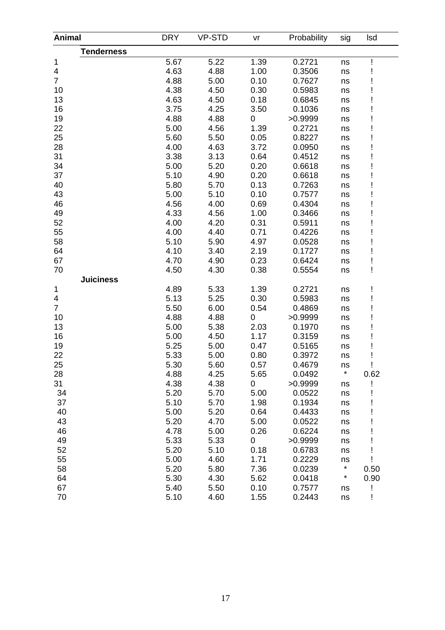| <b>Animal</b>     | <b>DRY</b> | <b>VP-STD</b> | vr             | Probability | sig     | Isd  |
|-------------------|------------|---------------|----------------|-------------|---------|------|
| <b>Tenderness</b> |            |               |                |             |         |      |
| 1                 | 5.67       | 5.22          | 1.39           | 0.2721      | ns      |      |
| 4                 | 4.63       | 4.88          | 1.00           | 0.3506      | ns      |      |
| $\overline{7}$    | 4.88       | 5.00          | 0.10           | 0.7627      | ns      |      |
| 10                | 4.38       | 4.50          | 0.30           | 0.5983      | ns      |      |
| 13                | 4.63       | 4.50          | 0.18           | 0.6845      | ns      |      |
| 16                | 3.75       | 4.25          | 3.50           | 0.1036      | ns      |      |
| 19                | 4.88       | 4.88          | 0              | >0.9999     | ns      |      |
| 22                | 5.00       | 4.56          | 1.39           | 0.2721      | ns      |      |
| 25                | 5.60       | 5.50          | 0.05           | 0.8227      | ns      |      |
| 28                | 4.00       | 4.63          | 3.72           | 0.0950      | ns      |      |
| 31                | 3.38       | 3.13          | 0.64           | 0.4512      | ns      |      |
| 34                | 5.00       | 5.20          | 0.20           | 0.6618      | ns      |      |
| 37                | 5.10       | 4.90          | 0.20           | 0.6618      | ns      |      |
| 40                | 5.80       | 5.70          | 0.13           | 0.7263      | ns      |      |
| 43                | 5.00       | 5.10          | 0.10           | 0.7577      | ns      |      |
| 46                | 4.56       | 4.00          | 0.69           | 0.4304      | ns      |      |
| 49                | 4.33       | 4.56          | 1.00           | 0.3466      | ns      |      |
| 52                | 4.00       | 4.20          | 0.31           | 0.5911      | ns      |      |
| 55                | 4.00       | 4.40          | 0.71           | 0.4226      | ns      |      |
| 58                | 5.10       | 5.90          | 4.97           | 0.0528      | ns      |      |
| 64                | 4.10       | 3.40          | 2.19           | 0.1727      | ns      |      |
| 67                | 4.70       | 4.90          | 0.23           | 0.6424      | ns      |      |
| 70                | 4.50       | 4.30          | 0.38           | 0.5554      | ns      | Ţ    |
| <b>Juiciness</b>  |            |               |                |             |         |      |
| 1                 | 4.89       | 5.33          | 1.39           | 0.2721      | ns      |      |
| 4                 | 5.13       | 5.25          | 0.30           | 0.5983      | ns      |      |
| $\overline{7}$    | 5.50       | 6.00          | 0.54           | 0.4869      | ns      |      |
| 10                | 4.88       | 4.88          | $\mathbf 0$    | >0.9999     | ns      |      |
| 13                | 5.00       | 5.38          | 2.03           | 0.1970      | ns      |      |
| 16                | 5.00       | 4.50          | 1.17           | 0.3159      | ns      |      |
| 19                | 5.25       | 5.00          | 0.47           | 0.5165      | ns      |      |
| 22                | 5.33       | 5.00          | 0.80           | 0.3972      | ns      |      |
| 25                | 5.30       | 5.60          | 0.57           | 0.4679      | ns      |      |
| 28                | 4.88       | 4.25          | 5.65           | 0.0492      | $\star$ | 0.62 |
| 31                | 4.38       | 4.38          | $\overline{0}$ | >0.9999     | ns      |      |
| 34                | 5.20       | 5.70          | 5.00           | 0.0522      | ns      |      |
| 37                | 5.10       | 5.70          | 1.98           | 0.1934      | ns      |      |
| 40                | 5.00       | 5.20          | 0.64           | 0.4433      | ns      |      |
| 43                | 5.20       | 4.70          | 5.00           | 0.0522      | ns      |      |
| 46                | 4.78       | 5.00          | 0.26           | 0.6224      | ns      |      |
| 49                | 5.33       | 5.33          | 0              | >0.9999     | ns      |      |
| 52                | 5.20       | 5.10          | 0.18           | 0.6783      | ns      |      |
| 55                | 5.00       | 4.60          | 1.71           | 0.2229      | ns      |      |
| 58                | 5.20       | 5.80          | 7.36           | 0.0239      | $\star$ | 0.50 |
| 64                | 5.30       | 4.30          | 5.62           | 0.0418      | $\star$ | 0.90 |
| 67                | 5.40       | 5.50          | 0.10           | 0.7577      | ns      | Ţ    |
| 70                | 5.10       | 4.60          | 1.55           | 0.2443      | ns      |      |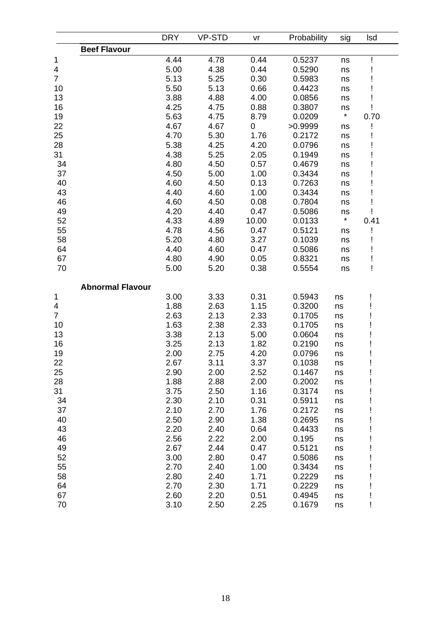| <b>Beef Flavour</b><br>4.44<br>4.78<br>0.44<br>0.5237<br>ns<br>5.00<br>4.38<br>0.44<br>0.5290<br>ns<br>5.13<br>0.30<br>5.25<br>0.5983<br>ns<br>5.50<br>5.13<br>0.66<br>0.4423<br>ns<br>3.88<br>4.00<br>4.88<br>0.0856<br>ns<br>4.25<br>4.75<br>0.88<br>0.3807<br>ns<br>$\star$<br>5.63<br>0.0209<br>4.75<br>8.79<br>0.70<br>4.67<br>4.67<br>0<br>>0.9999<br>ns<br>4.70<br>5.30<br>1.76<br>0.2172<br>ns<br>5.38<br>4.20<br>4.25<br>0.0796<br>ns<br>4.38<br>5.25<br>2.05<br>0.1949<br>ns<br>34<br>4.80<br>4.50<br>0.57<br>0.4679<br>ns<br>37<br>4.50<br>5.00<br>1.00<br>0.3434<br>ns<br>40<br>4.60<br>4.50<br>0.13<br>0.7263<br>ns<br>43<br>4.40<br>1.00<br>4.60<br>0.3434<br>ns<br>46<br>4.60<br>4.50<br>0.08<br>0.7804<br>ns<br>49<br>4.20<br>0.47<br>4.40<br>0.5086<br>ns<br>$\star$<br>52<br>4.33<br>4.89<br>10.00<br>0.0133<br>0.41<br>55<br>4.78<br>4.56<br>0.47<br>0.5121<br>ns<br>58<br>5.20<br>3.27<br>4.80<br>0.1039<br>ns<br>64<br>4.40<br>4.60<br>0.47<br>0.5086<br>ns<br>67<br>4.80<br>4.90<br>0.05<br>0.8321<br>ns<br>70<br>5.00<br>5.20<br>0.38<br>0.5554<br>I<br>ns<br><b>Abnormal Flavour</b><br>3.00<br>3.33<br>0.31<br>0.5943<br>ns<br>4<br>1.88<br>1.15<br>2.63<br>0.3200<br>ns<br>$\overline{7}$<br>2.63<br>2.13<br>2.33<br>0.1705<br>ns<br>1.63<br>10<br>2.38<br>2.33<br>0.1705<br>ns<br>13<br>3.38<br>2.13<br>5.00<br>0.0604<br>ns<br>16<br>3.25<br>2.13<br>1.82<br>0.2190<br>ns<br>2.00<br>19<br>2.75<br>4.20<br>0.0796<br>ns<br>22<br>2.67<br>3.11<br>3.37<br>0.1038<br>ns<br>25<br>2.90<br>2.00<br>2.52<br>0.1467<br>Ţ<br>ns<br>1.88<br>2.88<br>2.00<br>0.2002<br>ns<br>3.75<br>2.50<br>1.16<br>0.3174<br>ns<br>2.30<br>34<br>2.10<br>0.31<br>0.5911<br>ns<br>37<br>2.10<br>2.70<br>0.2172<br>1.76<br>ns<br>40<br>2.50<br>2.90<br>1.38<br>0.2695<br>ns<br>43<br>2.20<br>2.40<br>0.64<br>0.4433<br>ns<br>46<br>2.56<br>2.22<br>2.00<br>0.195<br>ns<br>49<br>2.67<br>2.44<br>0.47<br>0.5121<br>ns<br>52<br>3.00<br>2.80<br>0.47<br>0.5086<br>ns<br>55<br>2.70<br>2.40<br>1.00<br>0.3434<br>ns<br>58<br>2.80<br>2.40<br>1.71<br>0.2229<br>ns<br>64<br>2.70<br>2.30<br>1.71<br>0.2229<br>ns<br>2.60<br>67<br>2.20<br>0.51<br>0.4945<br>ns |                | <b>DRY</b> | <b>VP-STD</b> | vr   | Probability | sig | Isd |  |
|---------------------------------------------------------------------------------------------------------------------------------------------------------------------------------------------------------------------------------------------------------------------------------------------------------------------------------------------------------------------------------------------------------------------------------------------------------------------------------------------------------------------------------------------------------------------------------------------------------------------------------------------------------------------------------------------------------------------------------------------------------------------------------------------------------------------------------------------------------------------------------------------------------------------------------------------------------------------------------------------------------------------------------------------------------------------------------------------------------------------------------------------------------------------------------------------------------------------------------------------------------------------------------------------------------------------------------------------------------------------------------------------------------------------------------------------------------------------------------------------------------------------------------------------------------------------------------------------------------------------------------------------------------------------------------------------------------------------------------------------------------------------------------------------------------------------------------------------------------------------------------------------------------------------------------------------------------------------------------------------------------------------------------------------------------------------------------------------------------------------------------------------------------------|----------------|------------|---------------|------|-------------|-----|-----|--|
|                                                                                                                                                                                                                                                                                                                                                                                                                                                                                                                                                                                                                                                                                                                                                                                                                                                                                                                                                                                                                                                                                                                                                                                                                                                                                                                                                                                                                                                                                                                                                                                                                                                                                                                                                                                                                                                                                                                                                                                                                                                                                                                                                               |                |            |               |      |             |     |     |  |
|                                                                                                                                                                                                                                                                                                                                                                                                                                                                                                                                                                                                                                                                                                                                                                                                                                                                                                                                                                                                                                                                                                                                                                                                                                                                                                                                                                                                                                                                                                                                                                                                                                                                                                                                                                                                                                                                                                                                                                                                                                                                                                                                                               | 1              |            |               |      |             |     |     |  |
|                                                                                                                                                                                                                                                                                                                                                                                                                                                                                                                                                                                                                                                                                                                                                                                                                                                                                                                                                                                                                                                                                                                                                                                                                                                                                                                                                                                                                                                                                                                                                                                                                                                                                                                                                                                                                                                                                                                                                                                                                                                                                                                                                               | 4              |            |               |      |             |     |     |  |
|                                                                                                                                                                                                                                                                                                                                                                                                                                                                                                                                                                                                                                                                                                                                                                                                                                                                                                                                                                                                                                                                                                                                                                                                                                                                                                                                                                                                                                                                                                                                                                                                                                                                                                                                                                                                                                                                                                                                                                                                                                                                                                                                                               | $\overline{7}$ |            |               |      |             |     |     |  |
|                                                                                                                                                                                                                                                                                                                                                                                                                                                                                                                                                                                                                                                                                                                                                                                                                                                                                                                                                                                                                                                                                                                                                                                                                                                                                                                                                                                                                                                                                                                                                                                                                                                                                                                                                                                                                                                                                                                                                                                                                                                                                                                                                               | 10             |            |               |      |             |     |     |  |
|                                                                                                                                                                                                                                                                                                                                                                                                                                                                                                                                                                                                                                                                                                                                                                                                                                                                                                                                                                                                                                                                                                                                                                                                                                                                                                                                                                                                                                                                                                                                                                                                                                                                                                                                                                                                                                                                                                                                                                                                                                                                                                                                                               | 13             |            |               |      |             |     |     |  |
|                                                                                                                                                                                                                                                                                                                                                                                                                                                                                                                                                                                                                                                                                                                                                                                                                                                                                                                                                                                                                                                                                                                                                                                                                                                                                                                                                                                                                                                                                                                                                                                                                                                                                                                                                                                                                                                                                                                                                                                                                                                                                                                                                               | 16             |            |               |      |             |     |     |  |
|                                                                                                                                                                                                                                                                                                                                                                                                                                                                                                                                                                                                                                                                                                                                                                                                                                                                                                                                                                                                                                                                                                                                                                                                                                                                                                                                                                                                                                                                                                                                                                                                                                                                                                                                                                                                                                                                                                                                                                                                                                                                                                                                                               | 19             |            |               |      |             |     |     |  |
|                                                                                                                                                                                                                                                                                                                                                                                                                                                                                                                                                                                                                                                                                                                                                                                                                                                                                                                                                                                                                                                                                                                                                                                                                                                                                                                                                                                                                                                                                                                                                                                                                                                                                                                                                                                                                                                                                                                                                                                                                                                                                                                                                               | 22             |            |               |      |             |     |     |  |
|                                                                                                                                                                                                                                                                                                                                                                                                                                                                                                                                                                                                                                                                                                                                                                                                                                                                                                                                                                                                                                                                                                                                                                                                                                                                                                                                                                                                                                                                                                                                                                                                                                                                                                                                                                                                                                                                                                                                                                                                                                                                                                                                                               | 25             |            |               |      |             |     |     |  |
|                                                                                                                                                                                                                                                                                                                                                                                                                                                                                                                                                                                                                                                                                                                                                                                                                                                                                                                                                                                                                                                                                                                                                                                                                                                                                                                                                                                                                                                                                                                                                                                                                                                                                                                                                                                                                                                                                                                                                                                                                                                                                                                                                               | 28             |            |               |      |             |     |     |  |
|                                                                                                                                                                                                                                                                                                                                                                                                                                                                                                                                                                                                                                                                                                                                                                                                                                                                                                                                                                                                                                                                                                                                                                                                                                                                                                                                                                                                                                                                                                                                                                                                                                                                                                                                                                                                                                                                                                                                                                                                                                                                                                                                                               | 31             |            |               |      |             |     |     |  |
|                                                                                                                                                                                                                                                                                                                                                                                                                                                                                                                                                                                                                                                                                                                                                                                                                                                                                                                                                                                                                                                                                                                                                                                                                                                                                                                                                                                                                                                                                                                                                                                                                                                                                                                                                                                                                                                                                                                                                                                                                                                                                                                                                               |                |            |               |      |             |     |     |  |
|                                                                                                                                                                                                                                                                                                                                                                                                                                                                                                                                                                                                                                                                                                                                                                                                                                                                                                                                                                                                                                                                                                                                                                                                                                                                                                                                                                                                                                                                                                                                                                                                                                                                                                                                                                                                                                                                                                                                                                                                                                                                                                                                                               |                |            |               |      |             |     |     |  |
|                                                                                                                                                                                                                                                                                                                                                                                                                                                                                                                                                                                                                                                                                                                                                                                                                                                                                                                                                                                                                                                                                                                                                                                                                                                                                                                                                                                                                                                                                                                                                                                                                                                                                                                                                                                                                                                                                                                                                                                                                                                                                                                                                               |                |            |               |      |             |     |     |  |
|                                                                                                                                                                                                                                                                                                                                                                                                                                                                                                                                                                                                                                                                                                                                                                                                                                                                                                                                                                                                                                                                                                                                                                                                                                                                                                                                                                                                                                                                                                                                                                                                                                                                                                                                                                                                                                                                                                                                                                                                                                                                                                                                                               |                |            |               |      |             |     |     |  |
|                                                                                                                                                                                                                                                                                                                                                                                                                                                                                                                                                                                                                                                                                                                                                                                                                                                                                                                                                                                                                                                                                                                                                                                                                                                                                                                                                                                                                                                                                                                                                                                                                                                                                                                                                                                                                                                                                                                                                                                                                                                                                                                                                               |                |            |               |      |             |     |     |  |
|                                                                                                                                                                                                                                                                                                                                                                                                                                                                                                                                                                                                                                                                                                                                                                                                                                                                                                                                                                                                                                                                                                                                                                                                                                                                                                                                                                                                                                                                                                                                                                                                                                                                                                                                                                                                                                                                                                                                                                                                                                                                                                                                                               |                |            |               |      |             |     |     |  |
|                                                                                                                                                                                                                                                                                                                                                                                                                                                                                                                                                                                                                                                                                                                                                                                                                                                                                                                                                                                                                                                                                                                                                                                                                                                                                                                                                                                                                                                                                                                                                                                                                                                                                                                                                                                                                                                                                                                                                                                                                                                                                                                                                               |                |            |               |      |             |     |     |  |
|                                                                                                                                                                                                                                                                                                                                                                                                                                                                                                                                                                                                                                                                                                                                                                                                                                                                                                                                                                                                                                                                                                                                                                                                                                                                                                                                                                                                                                                                                                                                                                                                                                                                                                                                                                                                                                                                                                                                                                                                                                                                                                                                                               |                |            |               |      |             |     |     |  |
|                                                                                                                                                                                                                                                                                                                                                                                                                                                                                                                                                                                                                                                                                                                                                                                                                                                                                                                                                                                                                                                                                                                                                                                                                                                                                                                                                                                                                                                                                                                                                                                                                                                                                                                                                                                                                                                                                                                                                                                                                                                                                                                                                               |                |            |               |      |             |     |     |  |
|                                                                                                                                                                                                                                                                                                                                                                                                                                                                                                                                                                                                                                                                                                                                                                                                                                                                                                                                                                                                                                                                                                                                                                                                                                                                                                                                                                                                                                                                                                                                                                                                                                                                                                                                                                                                                                                                                                                                                                                                                                                                                                                                                               |                |            |               |      |             |     |     |  |
|                                                                                                                                                                                                                                                                                                                                                                                                                                                                                                                                                                                                                                                                                                                                                                                                                                                                                                                                                                                                                                                                                                                                                                                                                                                                                                                                                                                                                                                                                                                                                                                                                                                                                                                                                                                                                                                                                                                                                                                                                                                                                                                                                               |                |            |               |      |             |     |     |  |
|                                                                                                                                                                                                                                                                                                                                                                                                                                                                                                                                                                                                                                                                                                                                                                                                                                                                                                                                                                                                                                                                                                                                                                                                                                                                                                                                                                                                                                                                                                                                                                                                                                                                                                                                                                                                                                                                                                                                                                                                                                                                                                                                                               |                |            |               |      |             |     |     |  |
|                                                                                                                                                                                                                                                                                                                                                                                                                                                                                                                                                                                                                                                                                                                                                                                                                                                                                                                                                                                                                                                                                                                                                                                                                                                                                                                                                                                                                                                                                                                                                                                                                                                                                                                                                                                                                                                                                                                                                                                                                                                                                                                                                               |                |            |               |      |             |     |     |  |
|                                                                                                                                                                                                                                                                                                                                                                                                                                                                                                                                                                                                                                                                                                                                                                                                                                                                                                                                                                                                                                                                                                                                                                                                                                                                                                                                                                                                                                                                                                                                                                                                                                                                                                                                                                                                                                                                                                                                                                                                                                                                                                                                                               |                |            |               |      |             |     |     |  |
|                                                                                                                                                                                                                                                                                                                                                                                                                                                                                                                                                                                                                                                                                                                                                                                                                                                                                                                                                                                                                                                                                                                                                                                                                                                                                                                                                                                                                                                                                                                                                                                                                                                                                                                                                                                                                                                                                                                                                                                                                                                                                                                                                               | 1              |            |               |      |             |     |     |  |
|                                                                                                                                                                                                                                                                                                                                                                                                                                                                                                                                                                                                                                                                                                                                                                                                                                                                                                                                                                                                                                                                                                                                                                                                                                                                                                                                                                                                                                                                                                                                                                                                                                                                                                                                                                                                                                                                                                                                                                                                                                                                                                                                                               |                |            |               |      |             |     |     |  |
|                                                                                                                                                                                                                                                                                                                                                                                                                                                                                                                                                                                                                                                                                                                                                                                                                                                                                                                                                                                                                                                                                                                                                                                                                                                                                                                                                                                                                                                                                                                                                                                                                                                                                                                                                                                                                                                                                                                                                                                                                                                                                                                                                               |                |            |               |      |             |     |     |  |
|                                                                                                                                                                                                                                                                                                                                                                                                                                                                                                                                                                                                                                                                                                                                                                                                                                                                                                                                                                                                                                                                                                                                                                                                                                                                                                                                                                                                                                                                                                                                                                                                                                                                                                                                                                                                                                                                                                                                                                                                                                                                                                                                                               |                |            |               |      |             |     |     |  |
|                                                                                                                                                                                                                                                                                                                                                                                                                                                                                                                                                                                                                                                                                                                                                                                                                                                                                                                                                                                                                                                                                                                                                                                                                                                                                                                                                                                                                                                                                                                                                                                                                                                                                                                                                                                                                                                                                                                                                                                                                                                                                                                                                               |                |            |               |      |             |     |     |  |
|                                                                                                                                                                                                                                                                                                                                                                                                                                                                                                                                                                                                                                                                                                                                                                                                                                                                                                                                                                                                                                                                                                                                                                                                                                                                                                                                                                                                                                                                                                                                                                                                                                                                                                                                                                                                                                                                                                                                                                                                                                                                                                                                                               |                |            |               |      |             |     |     |  |
|                                                                                                                                                                                                                                                                                                                                                                                                                                                                                                                                                                                                                                                                                                                                                                                                                                                                                                                                                                                                                                                                                                                                                                                                                                                                                                                                                                                                                                                                                                                                                                                                                                                                                                                                                                                                                                                                                                                                                                                                                                                                                                                                                               |                |            |               |      |             |     |     |  |
|                                                                                                                                                                                                                                                                                                                                                                                                                                                                                                                                                                                                                                                                                                                                                                                                                                                                                                                                                                                                                                                                                                                                                                                                                                                                                                                                                                                                                                                                                                                                                                                                                                                                                                                                                                                                                                                                                                                                                                                                                                                                                                                                                               |                |            |               |      |             |     |     |  |
|                                                                                                                                                                                                                                                                                                                                                                                                                                                                                                                                                                                                                                                                                                                                                                                                                                                                                                                                                                                                                                                                                                                                                                                                                                                                                                                                                                                                                                                                                                                                                                                                                                                                                                                                                                                                                                                                                                                                                                                                                                                                                                                                                               |                |            |               |      |             |     |     |  |
|                                                                                                                                                                                                                                                                                                                                                                                                                                                                                                                                                                                                                                                                                                                                                                                                                                                                                                                                                                                                                                                                                                                                                                                                                                                                                                                                                                                                                                                                                                                                                                                                                                                                                                                                                                                                                                                                                                                                                                                                                                                                                                                                                               | 28             |            |               |      |             |     |     |  |
|                                                                                                                                                                                                                                                                                                                                                                                                                                                                                                                                                                                                                                                                                                                                                                                                                                                                                                                                                                                                                                                                                                                                                                                                                                                                                                                                                                                                                                                                                                                                                                                                                                                                                                                                                                                                                                                                                                                                                                                                                                                                                                                                                               | 31             |            |               |      |             |     |     |  |
|                                                                                                                                                                                                                                                                                                                                                                                                                                                                                                                                                                                                                                                                                                                                                                                                                                                                                                                                                                                                                                                                                                                                                                                                                                                                                                                                                                                                                                                                                                                                                                                                                                                                                                                                                                                                                                                                                                                                                                                                                                                                                                                                                               |                |            |               |      |             |     |     |  |
|                                                                                                                                                                                                                                                                                                                                                                                                                                                                                                                                                                                                                                                                                                                                                                                                                                                                                                                                                                                                                                                                                                                                                                                                                                                                                                                                                                                                                                                                                                                                                                                                                                                                                                                                                                                                                                                                                                                                                                                                                                                                                                                                                               |                |            |               |      |             |     |     |  |
|                                                                                                                                                                                                                                                                                                                                                                                                                                                                                                                                                                                                                                                                                                                                                                                                                                                                                                                                                                                                                                                                                                                                                                                                                                                                                                                                                                                                                                                                                                                                                                                                                                                                                                                                                                                                                                                                                                                                                                                                                                                                                                                                                               |                |            |               |      |             |     |     |  |
|                                                                                                                                                                                                                                                                                                                                                                                                                                                                                                                                                                                                                                                                                                                                                                                                                                                                                                                                                                                                                                                                                                                                                                                                                                                                                                                                                                                                                                                                                                                                                                                                                                                                                                                                                                                                                                                                                                                                                                                                                                                                                                                                                               |                |            |               |      |             |     |     |  |
|                                                                                                                                                                                                                                                                                                                                                                                                                                                                                                                                                                                                                                                                                                                                                                                                                                                                                                                                                                                                                                                                                                                                                                                                                                                                                                                                                                                                                                                                                                                                                                                                                                                                                                                                                                                                                                                                                                                                                                                                                                                                                                                                                               |                |            |               |      |             |     |     |  |
|                                                                                                                                                                                                                                                                                                                                                                                                                                                                                                                                                                                                                                                                                                                                                                                                                                                                                                                                                                                                                                                                                                                                                                                                                                                                                                                                                                                                                                                                                                                                                                                                                                                                                                                                                                                                                                                                                                                                                                                                                                                                                                                                                               |                |            |               |      |             |     |     |  |
|                                                                                                                                                                                                                                                                                                                                                                                                                                                                                                                                                                                                                                                                                                                                                                                                                                                                                                                                                                                                                                                                                                                                                                                                                                                                                                                                                                                                                                                                                                                                                                                                                                                                                                                                                                                                                                                                                                                                                                                                                                                                                                                                                               |                |            |               |      |             |     |     |  |
|                                                                                                                                                                                                                                                                                                                                                                                                                                                                                                                                                                                                                                                                                                                                                                                                                                                                                                                                                                                                                                                                                                                                                                                                                                                                                                                                                                                                                                                                                                                                                                                                                                                                                                                                                                                                                                                                                                                                                                                                                                                                                                                                                               |                |            |               |      |             |     |     |  |
|                                                                                                                                                                                                                                                                                                                                                                                                                                                                                                                                                                                                                                                                                                                                                                                                                                                                                                                                                                                                                                                                                                                                                                                                                                                                                                                                                                                                                                                                                                                                                                                                                                                                                                                                                                                                                                                                                                                                                                                                                                                                                                                                                               |                |            |               |      |             |     |     |  |
|                                                                                                                                                                                                                                                                                                                                                                                                                                                                                                                                                                                                                                                                                                                                                                                                                                                                                                                                                                                                                                                                                                                                                                                                                                                                                                                                                                                                                                                                                                                                                                                                                                                                                                                                                                                                                                                                                                                                                                                                                                                                                                                                                               |                |            |               |      |             |     |     |  |
|                                                                                                                                                                                                                                                                                                                                                                                                                                                                                                                                                                                                                                                                                                                                                                                                                                                                                                                                                                                                                                                                                                                                                                                                                                                                                                                                                                                                                                                                                                                                                                                                                                                                                                                                                                                                                                                                                                                                                                                                                                                                                                                                                               |                |            |               |      |             |     |     |  |
|                                                                                                                                                                                                                                                                                                                                                                                                                                                                                                                                                                                                                                                                                                                                                                                                                                                                                                                                                                                                                                                                                                                                                                                                                                                                                                                                                                                                                                                                                                                                                                                                                                                                                                                                                                                                                                                                                                                                                                                                                                                                                                                                                               | 70             | 3.10       | 2.50          | 2.25 | 0.1679      | ns  |     |  |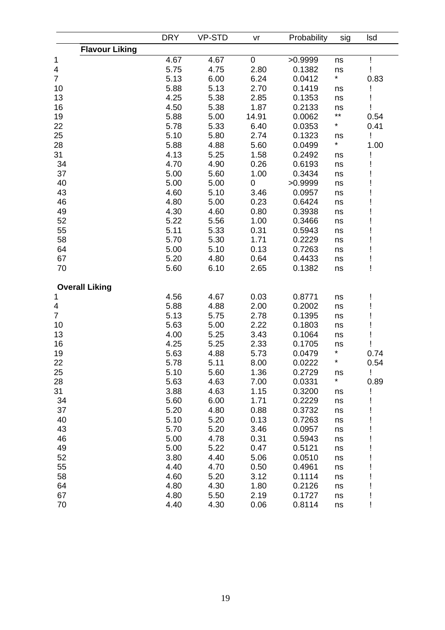|                       | <b>DRY</b> | <b>VP-STD</b> | vr        | Probability | sig     | lsd  |
|-----------------------|------------|---------------|-----------|-------------|---------|------|
| <b>Flavour Liking</b> |            |               |           |             |         |      |
| 1                     | 4.67       | 4.67          | $\pmb{0}$ | >0.9999     | ns      |      |
| 4                     | 5.75       | 4.75          | 2.80      | 0.1382      | ns      |      |
| $\overline{7}$        | 5.13       | 6.00          | 6.24      | 0.0412      | $\star$ | 0.83 |
| 10                    | 5.88       | 5.13          | 2.70      | 0.1419      | ns      |      |
| 13                    | 4.25       | 5.38          | 2.85      | 0.1353      | ns      |      |
| 16                    | 4.50       | 5.38          | 1.87      | 0.2133      | ns      |      |
| 19                    | 5.88       | 5.00          | 14.91     | 0.0062      | **      | 0.54 |
| 22                    | 5.78       | 5.33          | 6.40      | 0.0353      | *       | 0.41 |
| 25                    | 5.10       | 5.80          | 2.74      | 0.1323      |         | Ţ    |
| 28                    | 5.88       | 4.88          | 5.60      | 0.0499      | ns<br>* | 1.00 |
| 31                    |            |               |           |             |         |      |
|                       | 4.13       | 5.25          | 1.58      | 0.2492      | ns      |      |
| 34                    | 4.70       | 4.90          | 0.26      | 0.6193      | ns      |      |
| 37                    | 5.00       | 5.60          | 1.00      | 0.3434      | ns      |      |
| 40                    | 5.00       | 5.00          | 0         | >0.9999     | ns      |      |
| 43                    | 4.60       | 5.10          | 3.46      | 0.0957      | ns      |      |
| 46                    | 4.80       | 5.00          | 0.23      | 0.6424      | ns      |      |
| 49                    | 4.30       | 4.60          | 0.80      | 0.3938      | ns      |      |
| 52                    | 5.22       | 5.56          | 1.00      | 0.3466      | ns      |      |
| 55                    | 5.11       | 5.33          | 0.31      | 0.5943      | ns      |      |
| 58                    | 5.70       | 5.30          | 1.71      | 0.2229      | ns      |      |
| 64                    | 5.00       | 5.10          | 0.13      | 0.7263      | ns      |      |
| 67                    | 5.20       | 4.80          | 0.64      | 0.4433      | ns      |      |
| 70                    | 5.60       | 6.10          | 2.65      | 0.1382      | ns      |      |
| <b>Overall Liking</b> |            |               |           |             |         |      |
| 1                     | 4.56       | 4.67          | 0.03      | 0.8771      | ns      |      |
| 4                     | 5.88       | 4.88          | 2.00      | 0.2002      | ns      |      |
| $\overline{7}$        | 5.13       | 5.75          | 2.78      | 0.1395      | ns      |      |
| 10                    | 5.63       | 5.00          | 2.22      | 0.1803      | ns      |      |
| 13                    | 4.00       | 5.25          | 3.43      | 0.1064      | ns      |      |
| 16                    | 4.25       | 5.25          | 2.33      | 0.1705      | ns      |      |
| 19                    | 5.63       | 4.88          | 5.73      | 0.0479      | *       | 0.74 |
| 22                    | 5.78       | 5.11          | 8.00      | 0.0222      | *       | 0.54 |
| 25                    | 5.10       | 5.60          | 1.36      | 0.2729      | ns      | Ţ    |
| 28                    | 5.63       | 4.63          | 7.00      | 0.0331      | $\star$ | 0.89 |
| 31                    | 3.88       | 4.63          | 1.15      | 0.3200      | ns      |      |
| 34                    | 5.60       | 6.00          | 1.71      | 0.2229      | ns      |      |
| 37                    | 5.20       | 4.80          | 0.88      | 0.3732      | ns      |      |
| 40                    | 5.10       | 5.20          | 0.13      | 0.7263      | ns      |      |
| 43                    | 5.70       | 5.20          |           | 0.0957      |         |      |
|                       |            |               | 3.46      |             | ns      |      |
| 46                    | 5.00       | 4.78          | 0.31      | 0.5943      | ns      |      |
| 49                    | 5.00       | 5.22          | 0.47      | 0.5121      | ns      |      |
| 52                    | 3.80       | 4.40          | 5.06      | 0.0510      | ns      |      |
| 55                    | 4.40       | 4.70          | 0.50      | 0.4961      | ns      |      |
| 58                    | 4.60       | 5.20          | 3.12      | 0.1114      | ns      |      |
| 64                    | 4.80       | 4.30          | 1.80      | 0.2126      | ns      |      |
| 67                    | 4.80       | 5.50          | 2.19      | 0.1727      | ns      |      |
| 70                    | 4.40       | 4.30          | 0.06      | 0.8114      | ns      |      |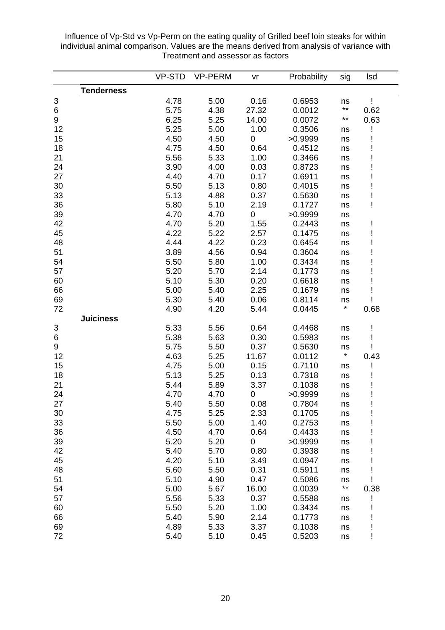Influence of Vp-Std vs Vp-Perm on the eating quality of Grilled beef loin steaks for within individual animal comparison. Values are the means derived from analysis of variance with Treatment and assessor as factors

|    |                   | <b>VP-STD</b> | <b>VP-PERM</b> | vr               | Probability | sig          | <b>Isd</b> |
|----|-------------------|---------------|----------------|------------------|-------------|--------------|------------|
|    | <b>Tenderness</b> |               |                |                  |             |              |            |
| 3  |                   | 4.78          | 5.00           | 0.16             | 0.6953      | ns           |            |
| 6  |                   | 5.75          | 4.38           | 27.32            | 0.0012      | $***$        | 0.62       |
| 9  |                   | 6.25          | 5.25           | 14.00            | 0.0072      | $\star\star$ | 0.63       |
| 12 |                   | 5.25          | 5.00           | 1.00             | 0.3506      | ns           |            |
| 15 |                   | 4.50          | 4.50           | $\mathbf 0$      | >0.9999     | ns           |            |
| 18 |                   | 4.75          | 4.50           | 0.64             | 0.4512      | ns           |            |
| 21 |                   | 5.56          | 5.33           | 1.00             | 0.3466      | ns           |            |
| 24 |                   | 3.90          | 4.00           | 0.03             | 0.8723      | ns           |            |
| 27 |                   | 4.40          | 4.70           | 0.17             | 0.6911      | ns           |            |
| 30 |                   | 5.50          | 5.13           | 0.80             | 0.4015      | ns           |            |
| 33 |                   | 5.13          | 4.88           | 0.37             | 0.5630      | ns           |            |
| 36 |                   | 5.80          | 5.10           | 2.19             | 0.1727      | ns           | Ţ          |
| 39 |                   | 4.70          | 4.70           | $\boldsymbol{0}$ | >0.9999     | ns           |            |
| 42 |                   | 4.70          | 5.20           | 1.55             | 0.2443      | ns           | Ţ          |
| 45 |                   | 4.22          | 5.22           | 2.57             | 0.1475      | ns           |            |
| 48 |                   | 4.44          | 4.22           | 0.23             | 0.6454      | ns           |            |
| 51 |                   | 3.89          | 4.56           | 0.94             | 0.3604      | ns           |            |
| 54 |                   | 5.50          | 5.80           | 1.00             | 0.3434      | ns           |            |
| 57 |                   | 5.20          | 5.70           | 2.14             | 0.1773      | ns           |            |
| 60 |                   | 5.10          | 5.30           | 0.20             | 0.6618      | ns           |            |
| 66 |                   | 5.00          | 5.40           | 2.25             | 0.1679      | ns           |            |
| 69 |                   | 5.30          | 5.40           | 0.06             | 0.8114      | ns           |            |
| 72 |                   | 4.90          | 4.20           | 5.44             | 0.0445      | $\star$      | 0.68       |
|    | <b>Juiciness</b>  |               |                |                  |             |              |            |
| 3  |                   | 5.33          | 5.56           | 0.64             | 0.4468      | ns           | Ţ          |
| 6  |                   | 5.38          | 5.63           | 0.30             | 0.5983      | ns           |            |
| 9  |                   | 5.75          | 5.50           | 0.37             | 0.5630      | ns           |            |
| 12 |                   | 4.63          | 5.25           | 11.67            | 0.0112      | $\star$      | 0.43       |
| 15 |                   | 4.75          | 5.00           | 0.15             | 0.7110      | ns           |            |
| 18 |                   | 5.13          | 5.25           | 0.13             | 0.7318      | ns           |            |
| 21 |                   | 5.44          | 5.89           | 3.37             | 0.1038      | ns           |            |
| 24 |                   | 4.70          | 4.70           | $\mathbf 0$      | >0.9999     | ns           |            |
| 27 |                   | 5.40          | 5.50           | 0.08             | 0.7804      | ns           |            |
| 30 |                   | 4.75          | 5.25           | 2.33             | 0.1705      | ns           |            |
| 33 |                   | 5.50          | 5.00           | 1.40             | 0.2753      | ns           |            |
| 36 |                   | 4.50          | 4.70           | 0.64             | 0.4433      | ns           |            |
| 39 |                   | 5.20          | 5.20           | $\overline{0}$   | >0.9999     | ns           |            |
| 42 |                   | 5.40          | 5.70           | 0.80             | 0.3938      | ns           |            |
| 45 |                   | 4.20          | 5.10           | 3.49             | 0.0947      | ns           |            |
| 48 |                   | 5.60          | 5.50           | 0.31             | 0.5911      | ns           |            |
| 51 |                   | 5.10          | 4.90           | 0.47             | 0.5086      | ns           |            |
| 54 |                   | 5.00          | 5.67           | 16.00            | 0.0039      | $\star\star$ | 0.38       |
| 57 |                   | 5.56          | 5.33           | 0.37             | 0.5588      |              |            |
| 60 |                   | 5.50          | 5.20           | 1.00             | 0.3434      | ns           |            |
| 66 |                   | 5.40          |                | 2.14             |             | ns           |            |
|    |                   |               | 5.90           |                  | 0.1773      | ns           |            |
| 69 |                   | 4.89          | 5.33           | 3.37             | 0.1038      | ns           |            |
| 72 |                   | 5.40          | 5.10           | 0.45             | 0.5203      | ns           |            |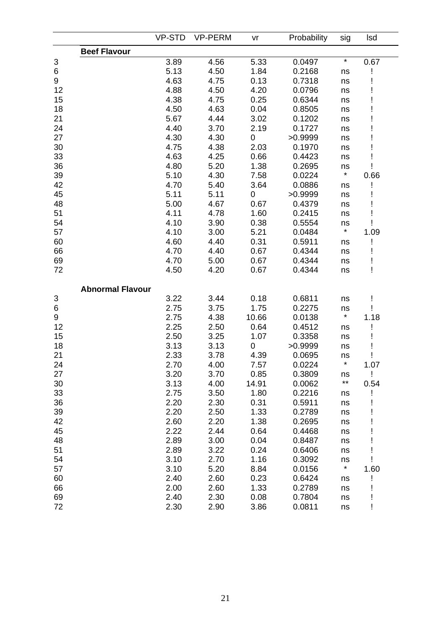|                  |                         | <b>VP-STD</b> | <b>VP-PERM</b> | vr          | Probability | sig     | <b>Isd</b> |
|------------------|-------------------------|---------------|----------------|-------------|-------------|---------|------------|
|                  | <b>Beef Flavour</b>     |               |                |             |             |         |            |
| 3                |                         | 3.89          | 4.56           | 5.33        | 0.0497      | $\star$ | 0.67       |
| 6                |                         | 5.13          | 4.50           | 1.84        | 0.2168      | ns      |            |
| $\boldsymbol{9}$ |                         | 4.63          | 4.75           | 0.13        | 0.7318      | ns      |            |
| 12               |                         | 4.88          | 4.50           | 4.20        | 0.0796      | ns      |            |
| 15               |                         | 4.38          | 4.75           | 0.25        | 0.6344      | ns      |            |
| 18               |                         | 4.50          | 4.63           | 0.04        | 0.8505      | ns      |            |
| 21               |                         | 5.67          | 4.44           | 3.02        | 0.1202      | ns      |            |
| 24               |                         | 4.40          | 3.70           | 2.19        | 0.1727      | ns      |            |
| 27               |                         | 4.30          | 4.30           | $\pmb{0}$   | >0.9999     | ns      |            |
| 30               |                         | 4.75          | 4.38           | 2.03        | 0.1970      | ns      |            |
| 33               |                         | 4.63          | 4.25           | 0.66        | 0.4423      | ns      |            |
| 36               |                         | 4.80          | 5.20           | 1.38        | 0.2695      | ns      |            |
| 39               |                         | 5.10          | 4.30           | 7.58        | 0.0224      | $\star$ | 0.66       |
| 42               |                         | 4.70          | 5.40           | 3.64        | 0.0886      | ns      |            |
| 45               |                         | 5.11          | 5.11           | 0           | >0.9999     | ns      |            |
| 48               |                         | 5.00          | 4.67           | 0.67        | 0.4379      | ns      |            |
| 51               |                         | 4.11          | 4.78           | 1.60        | 0.2415      | ns      |            |
| 54               |                         | 4.10          | 3.90           | 0.38        | 0.5554      | ns      |            |
| 57               |                         | 4.10          | 3.00           | 5.21        | 0.0484      | $\star$ | 1.09       |
| 60               |                         | 4.60          | 4.40           | 0.31        | 0.5911      | ns      |            |
| 66               |                         | 4.70          | 4.40           | 0.67        | 0.4344      | ns      |            |
| 69               |                         | 4.70          | 5.00           | 0.67        | 0.4344      | ns      |            |
| 72               |                         | 4.50          | 4.20           | 0.67        | 0.4344      | ns      | Ţ          |
|                  | <b>Abnormal Flavour</b> |               |                |             |             |         |            |
| 3                |                         | 3.22          | 3.44           | 0.18        | 0.6811      | ns      | Ţ          |
| 6                |                         | 2.75          | 3.75           | 1.75        | 0.2275      | ns      |            |
| 9                |                         | 2.75          | 4.38           | 10.66       | 0.0138      | $\star$ | 1.18       |
| 12               |                         | 2.25          | 2.50           | 0.64        | 0.4512      | ns      |            |
| 15               |                         | 2.50          | 3.25           | 1.07        | 0.3358      | ns      |            |
| 18               |                         | 3.13          | 3.13           | $\mathbf 0$ | >0.9999     | ns      |            |
| 21               |                         | 2.33          | 3.78           | 4.39        | 0.0695      | ns      |            |
| 24               |                         | 2.70          | 4.00           | 7.57        | 0.0224      | $\star$ | 1.07       |
| 27               |                         | 3.20          | 3.70           | 0.85        | 0.3809      | ns      | Ţ          |
| 30               |                         | 3.13          | 4.00           | 14.91       | 0.0062      | $***$   | 0.54       |
| 33               |                         | 2.75          | 3.50           | 1.80        | 0.2216      | ns      |            |
| 36               |                         | 2.20          | 2.30           | 0.31        | 0.5911      | ns      |            |
| 39               |                         | 2.20          | 2.50           | 1.33        | 0.2789      | ns      |            |
| 42               |                         | 2.60          | 2.20           | 1.38        | 0.2695      | ns      |            |
| 45               |                         | 2.22          | 2.44           | 0.64        | 0.4468      | ns      |            |
| 48               |                         | 2.89          | 3.00           | 0.04        | 0.8487      | ns      |            |
| 51               |                         | 2.89          | 3.22           | 0.24        | 0.6406      | ns      |            |
| 54               |                         | 3.10          | 2.70           | 1.16        | 0.3092      | ns      |            |
| 57               |                         | 3.10          | 5.20           | 8.84        | 0.0156      | $\star$ | 1.60       |
| 60               |                         | 2.40          | 2.60           | 0.23        | 0.6424      | ns      |            |
| 66               |                         | 2.00          | 2.60           | 1.33        | 0.2789      | ns      |            |
| 69               |                         | 2.40          | 2.30           | 0.08        | 0.7804      | ns      |            |
| 72               |                         | 2.30          | 2.90           | 3.86        | 0.0811      | ns      |            |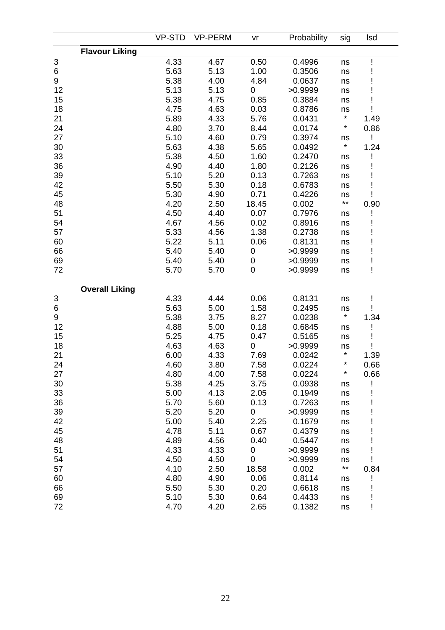|    |                       | <b>VP-STD</b> | <b>VP-PERM</b> | vr          | Probability | sig          | Isd  |
|----|-----------------------|---------------|----------------|-------------|-------------|--------------|------|
|    | <b>Flavour Liking</b> |               |                |             |             |              |      |
| 3  |                       | 4.33          | 4.67           | 0.50        | 0.4996      | ns           |      |
| 6  |                       | 5.63          | 5.13           | 1.00        | 0.3506      | ns           |      |
| 9  |                       | 5.38          | 4.00           | 4.84        | 0.0637      | ns           |      |
| 12 |                       | 5.13          | 5.13           | 0           | >0.9999     | ns           |      |
| 15 |                       | 5.38          | 4.75           | 0.85        | 0.3884      | ns           |      |
| 18 |                       | 4.75          | 4.63           | 0.03        | 0.8786      | ns           |      |
| 21 |                       | 5.89          | 4.33           | 5.76        | 0.0431      | $\star$      | 1.49 |
| 24 |                       | 4.80          | 3.70           | 8.44        | 0.0174      | $\star$      | 0.86 |
| 27 |                       | 5.10          | 4.60           | 0.79        | 0.3974      | ns           | Ţ    |
| 30 |                       | 5.63          | 4.38           | 5.65        | 0.0492      | $\star$      | 1.24 |
| 33 |                       | 5.38          | 4.50           | 1.60        | 0.2470      | ns           |      |
| 36 |                       | 4.90          | 4.40           | 1.80        | 0.2126      | ns           |      |
| 39 |                       | 5.10          | 5.20           | 0.13        | 0.7263      | ns           |      |
| 42 |                       | 5.50          | 5.30           | 0.18        | 0.6783      | ns           |      |
| 45 |                       | 5.30          | 4.90           | 0.71        | 0.4226      | ns           |      |
| 48 |                       | 4.20          | 2.50           | 18.45       | 0.002       | $\star\star$ | 0.90 |
| 51 |                       | 4.50          | 4.40           | 0.07        | 0.7976      | ns           |      |
| 54 |                       | 4.67          | 4.56           | 0.02        | 0.8916      | ns           |      |
| 57 |                       | 5.33          | 4.56           | 1.38        | 0.2738      | ns           |      |
| 60 |                       | 5.22          | 5.11           | 0.06        | 0.8131      | ns           |      |
| 66 |                       | 5.40          | 5.40           | $\pmb{0}$   | >0.9999     | ns           |      |
| 69 |                       | 5.40          | 5.40           | $\pmb{0}$   | >0.9999     | ns           |      |
| 72 |                       | 5.70          | 5.70           | $\mathbf 0$ | >0.9999     | ns           | Ţ    |
|    | <b>Overall Liking</b> |               |                |             |             |              |      |
| 3  |                       | 4.33          | 4.44           | 0.06        | 0.8131      | ns           |      |
| 6  |                       | 5.63          | 5.00           | 1.58        | 0.2495      | ns           |      |
| 9  |                       | 5.38          | 3.75           | 8.27        | 0.0238      | $\star$      | 1.34 |
| 12 |                       | 4.88          | 5.00           | 0.18        | 0.6845      | ns           |      |
| 15 |                       | 5.25          | 4.75           | 0.47        | 0.5165      | ns           |      |
| 18 |                       | 4.63          | 4.63           | $\pmb{0}$   | >0.9999     | ns           |      |
| 21 |                       | 6.00          | 4.33           | 7.69        | 0.0242      | $\star$      | 1.39 |
| 24 |                       | 4.60          | 3.80           | 7.58        | 0.0224      | $\star$      | 0.66 |
| 27 |                       | 4.80          | 4.00           | 7.58        | 0.0224      | $\star$      | 0.66 |
| 30 |                       | 5.38          | 4.25           | 3.75        | 0.0938      | ns           |      |
| 33 |                       | 5.00          | 4.13           | 2.05        | 0.1949      | ns           |      |
| 36 |                       | 5.70          | 5.60           | 0.13        | 0.7263      | ns           |      |
| 39 |                       | 5.20          | 5.20           | 0           | >0.9999     | ns           |      |
| 42 |                       | 5.00          | 5.40           | 2.25        | 0.1679      | ns           |      |
| 45 |                       | 4.78          | 5.11           | 0.67        | 0.4379      | ns           |      |
| 48 |                       | 4.89          | 4.56           | 0.40        | 0.5447      | ns           |      |
| 51 |                       | 4.33          | 4.33           | 0           | >0.9999     | ns           |      |
| 54 |                       | 4.50          | 4.50           | 0           | >0.9999     | ns           |      |
| 57 |                       | 4.10          | 2.50           | 18.58       | 0.002       | $\star\star$ | 0.84 |
| 60 |                       | 4.80          | 4.90           | 0.06        | 0.8114      | ns           |      |
| 66 |                       | 5.50          | 5.30           | 0.20        | 0.6618      | ns           |      |
| 69 |                       | 5.10          | 5.30           | 0.64        | 0.4433      | ns           |      |
| 72 |                       | 4.70          | 4.20           | 2.65        | 0.1382      | ns           |      |